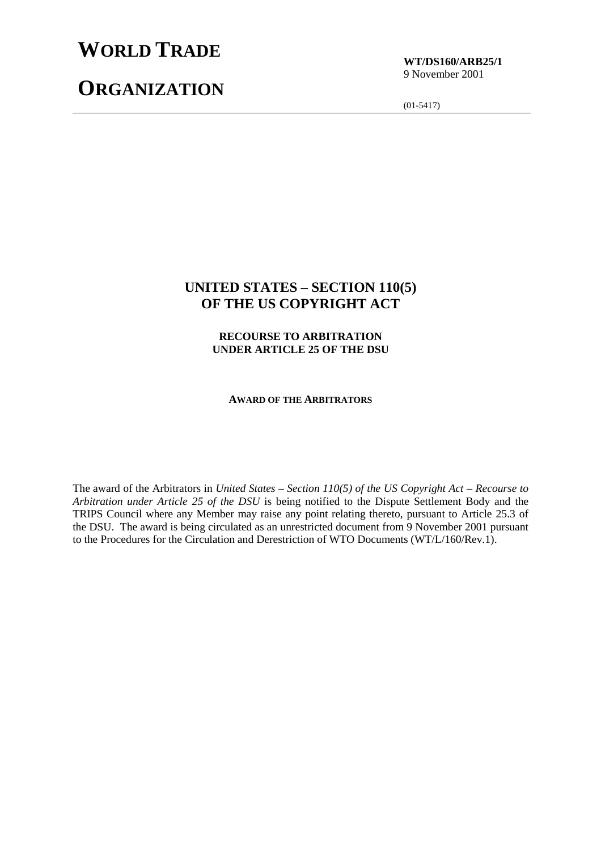# **WORLD TRADE**

## **ORGANIZATION**

**WT/DS160/ARB25/1** 9 November 2001

(01-5417)

## **UNITED STATES – SECTION 110(5) OF THE US COPYRIGHT ACT**

**RECOURSE TO ARBITRATION UNDER ARTICLE 25 OF THE DSU**

**AWARD OF THE ARBITRATORS**

The award of the Arbitrators in *United States – Section 110(5) of the US Copyright Act – Recourse to Arbitration under Article 25 of the DSU* is being notified to the Dispute Settlement Body and the TRIPS Council where any Member may raise any point relating thereto, pursuant to Article 25.3 of the DSU. The award is being circulated as an unrestricted document from 9 November 2001 pursuant to the Procedures for the Circulation and Derestriction of WTO Documents (WT/L/160/Rev.1).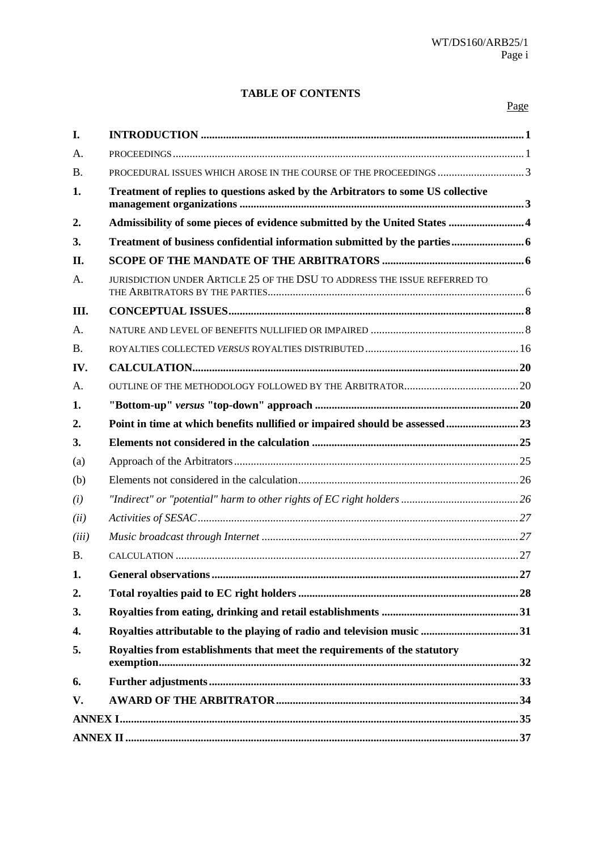#### **TABLE OF CONTENTS**

| I.        |                                                                                  |  |
|-----------|----------------------------------------------------------------------------------|--|
| A.        |                                                                                  |  |
| <b>B.</b> | PROCEDURAL ISSUES WHICH AROSE IN THE COURSE OF THE PROCEEDINGS 3                 |  |
| 1.        | Treatment of replies to questions asked by the Arbitrators to some US collective |  |
| 2.        | Admissibility of some pieces of evidence submitted by the United States  4       |  |
| 3.        |                                                                                  |  |
| II.       |                                                                                  |  |
| A.        | JURISDICTION UNDER ARTICLE 25 OF THE DSU TO ADDRESS THE ISSUE REFERRED TO        |  |
| Ш.        |                                                                                  |  |
| A.        |                                                                                  |  |
| <b>B.</b> |                                                                                  |  |
| IV.       |                                                                                  |  |
| A.        |                                                                                  |  |
| 1.        |                                                                                  |  |
| 2.        | Point in time at which benefits nullified or impaired should be assessed  23     |  |
| 3.        |                                                                                  |  |
| (a)       |                                                                                  |  |
| (b)       |                                                                                  |  |
| (i)       |                                                                                  |  |
| (ii)      |                                                                                  |  |
| (iii)     |                                                                                  |  |
| <b>B.</b> |                                                                                  |  |
| 1.        |                                                                                  |  |
| 2.        |                                                                                  |  |
| 3.        |                                                                                  |  |
| 4.        |                                                                                  |  |
| 5.        | Royalties from establishments that meet the requirements of the statutory        |  |
| 6.        |                                                                                  |  |
| V.        |                                                                                  |  |
|           |                                                                                  |  |
|           |                                                                                  |  |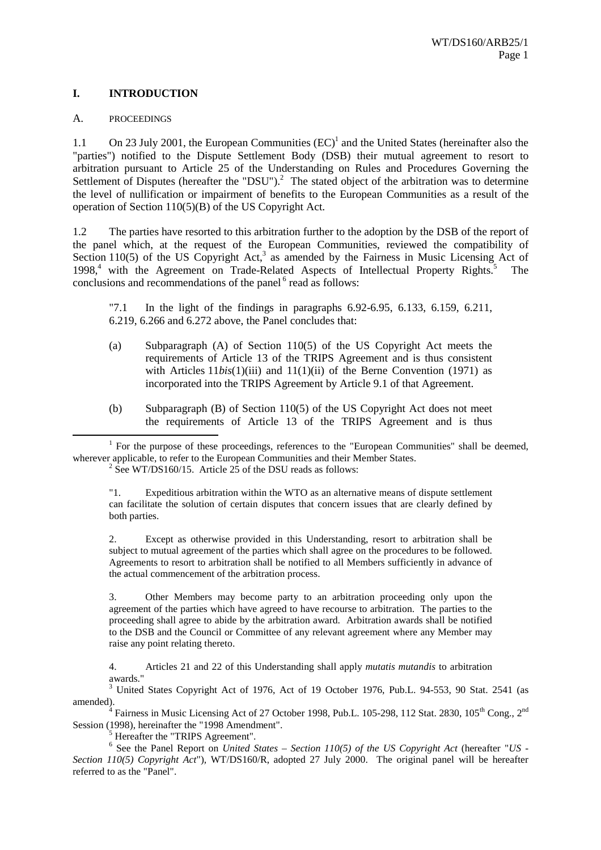#### **I. INTRODUCTION**

#### A. PROCEEDINGS

1.1 On 23 July 2001, the European Communities  $(EC)^{1}$  and the United States (hereinafter also the "parties") notified to the Dispute Settlement Body (DSB) their mutual agreement to resort to arbitration pursuant to Article 25 of the Understanding on Rules and Procedures Governing the Settlement of Disputes (hereafter the "DSU").<sup>2</sup> The stated object of the arbitration was to determine the level of nullification or impairment of benefits to the European Communities as a result of the operation of Section 110(5)(B) of the US Copyright Act.

1.2 The parties have resorted to this arbitration further to the adoption by the DSB of the report of the panel which, at the request of the European Communities, reviewed the compatibility of Section 110(5) of the US Copyright Act,<sup>3</sup> as amended by the Fairness in Music Licensing Act of 1998,<sup>4</sup> with the Agreement on Trade-Related Aspects of Intellectual Property Rights.<sup>5</sup> The conclusions and recommendations of the panel  $6$  read as follows:

"7.1 In the light of the findings in paragraphs 6.92-6.95, 6.133, 6.159, 6.211, 6.219, 6.266 and 6.272 above, the Panel concludes that:

- (a) Subparagraph (A) of Section 110(5) of the US Copyright Act meets the requirements of Article 13 of the TRIPS Agreement and is thus consistent with Articles 11*bis*(1)(iii) and 11(1)(ii) of the Berne Convention (1971) as incorporated into the TRIPS Agreement by Article 9.1 of that Agreement.
- (b) Subparagraph (B) of Section 110(5) of the US Copyright Act does not meet the requirements of Article 13 of the TRIPS Agreement and is thus

<u>1</u>  $<sup>1</sup>$  For the purpose of these proceedings, references to the "European Communities" shall be deemed,</sup> wherever applicable, to refer to the European Communities and their Member States.  $2 \text{ See } WT\text{/}DS160/15$ . Article 25 of the DSU reads as follows:

"1. Expeditious arbitration within the WTO as an alternative means of dispute settlement can facilitate the solution of certain disputes that concern issues that are clearly defined by both parties.

2. Except as otherwise provided in this Understanding, resort to arbitration shall be subject to mutual agreement of the parties which shall agree on the procedures to be followed. Agreements to resort to arbitration shall be notified to all Members sufficiently in advance of the actual commencement of the arbitration process.

3. Other Members may become party to an arbitration proceeding only upon the agreement of the parties which have agreed to have recourse to arbitration. The parties to the proceeding shall agree to abide by the arbitration award. Arbitration awards shall be notified to the DSB and the Council or Committee of any relevant agreement where any Member may raise any point relating thereto.

4. Articles 21 and 22 of this Understanding shall apply *mutatis mutandis* to arbitration awards."

<sup>3</sup> United States Copyright Act of 1976, Act of 19 October 1976, Pub.L. 94-553, 90 Stat. 2541 (as amended).

 $^{4}$  Fairness in Music Licensing Act of 27 October 1998, Pub.L. 105-298, 112 Stat. 2830, 105<sup>th</sup> Cong., 2<sup>nd</sup> Session (1998), hereinafter the "1998 Amendment".

Hereafter the "TRIPS Agreement".

<sup>6</sup> See the Panel Report on *United States – Section 110(5) of the US Copyright Act* (hereafter "*US -Section 110(5) Copyright Act*")*,* WT/DS160/R, adopted 27 July 2000. The original panel will be hereafter referred to as the "Panel".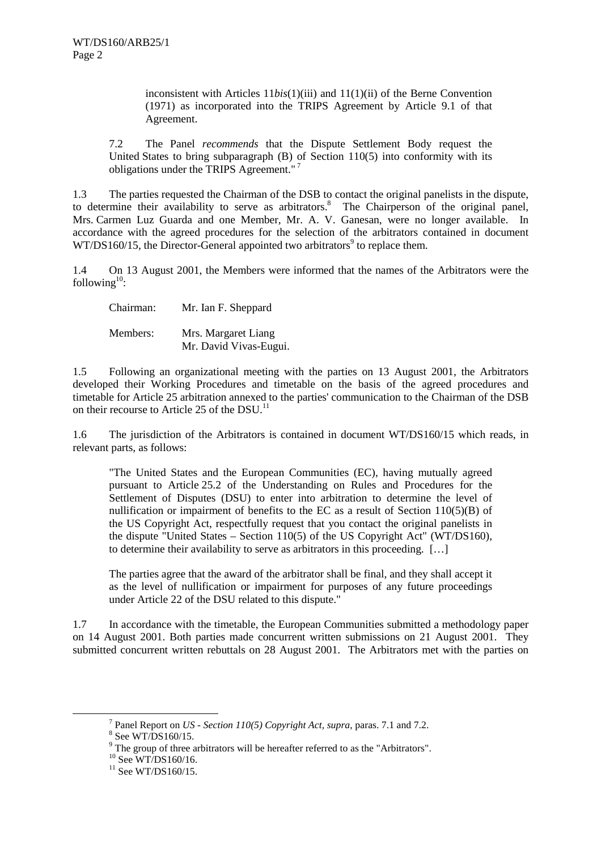inconsistent with Articles 11*bis*(1)(iii) and 11(1)(ii) of the Berne Convention (1971) as incorporated into the TRIPS Agreement by Article 9.1 of that Agreement.

7.2 The Panel *recommends* that the Dispute Settlement Body request the United States to bring subparagraph (B) of Section 110(5) into conformity with its obligations under the TRIPS Agreement."<sup>7</sup>

1.3 The parties requested the Chairman of the DSB to contact the original panelists in the dispute, to determine their availability to serve as arbitrators.<sup>8</sup> The Chairperson of the original panel, Mrs. Carmen Luz Guarda and one Member, Mr. A. V. Ganesan, were no longer available. In accordance with the agreed procedures for the selection of the arbitrators contained in document  $WT/DS160/15$ , the Director-General appointed two arbitrators<sup>9</sup> to replace them.

1.4 On 13 August 2001, the Members were informed that the names of the Arbitrators were the following $10$ :

Chairman: Mr. Ian F. Sheppard

Members: Mrs. Margaret Liang Mr. David Vivas-Eugui.

1.5 Following an organizational meeting with the parties on 13 August 2001, the Arbitrators developed their Working Procedures and timetable on the basis of the agreed procedures and timetable for Article 25 arbitration annexed to the parties' communication to the Chairman of the DSB on their recourse to Article 25 of the DSU.<sup>11</sup>

1.6 The jurisdiction of the Arbitrators is contained in document WT/DS160/15 which reads, in relevant parts, as follows:

"The United States and the European Communities (EC), having mutually agreed pursuant to Article 25.2 of the Understanding on Rules and Procedures for the Settlement of Disputes (DSU) to enter into arbitration to determine the level of nullification or impairment of benefits to the EC as a result of Section 110(5)(B) of the US Copyright Act, respectfully request that you contact the original panelists in the dispute "United States – Section 110(5) of the US Copyright Act" (WT/DS160), to determine their availability to serve as arbitrators in this proceeding. […]

The parties agree that the award of the arbitrator shall be final, and they shall accept it as the level of nullification or impairment for purposes of any future proceedings under Article 22 of the DSU related to this dispute."

1.7 In accordance with the timetable, the European Communities submitted a methodology paper on 14 August 2001. Both parties made concurrent written submissions on 21 August 2001. They submitted concurrent written rebuttals on 28 August 2001. The Arbitrators met with the parties on

 <sup>7</sup> Panel Report on *US - Section 110(5) Copyright Act, supra*, paras. 7.1 and 7.2. <sup>8</sup>

 $8$  See WT/DS160/15.

 $9^9$  The group of three arbitrators will be hereafter referred to as the "Arbitrators".

 $^{10}$  See WT/DS160/16.

 $11$  See WT/DS160/15.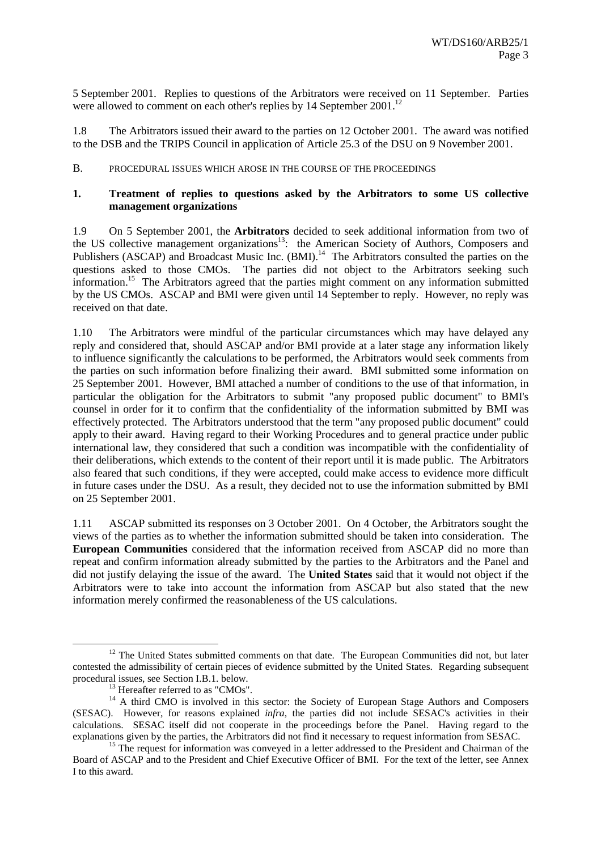5 September 2001. Replies to questions of the Arbitrators were received on 11 September. Parties were allowed to comment on each other's replies by 14 September 2001.<sup>12</sup>

1.8 The Arbitrators issued their award to the parties on 12 October 2001. The award was notified to the DSB and the TRIPS Council in application of Article 25.3 of the DSU on 9 November 2001.

#### B. PROCEDURAL ISSUES WHICH AROSE IN THE COURSE OF THE PROCEEDINGS

#### **1. Treatment of replies to questions asked by the Arbitrators to some US collective management organizations**

1.9 On 5 September 2001, the **Arbitrators** decided to seek additional information from two of the US collective management organizations<sup>13</sup>: the American Society of Authors, Composers and Publishers (ASCAP) and Broadcast Music Inc. (BMI).<sup>14</sup> The Arbitrators consulted the parties on the questions asked to those CMOs. The parties did not object to the Arbitrators seeking such information.15 The Arbitrators agreed that the parties might comment on any information submitted by the US CMOs. ASCAP and BMI were given until 14 September to reply. However, no reply was received on that date.

1.10 The Arbitrators were mindful of the particular circumstances which may have delayed any reply and considered that, should ASCAP and/or BMI provide at a later stage any information likely to influence significantly the calculations to be performed, the Arbitrators would seek comments from the parties on such information before finalizing their award. BMI submitted some information on 25 September 2001. However, BMI attached a number of conditions to the use of that information, in particular the obligation for the Arbitrators to submit "any proposed public document" to BMI's counsel in order for it to confirm that the confidentiality of the information submitted by BMI was effectively protected. The Arbitrators understood that the term "any proposed public document" could apply to their award. Having regard to their Working Procedures and to general practice under public international law, they considered that such a condition was incompatible with the confidentiality of their deliberations, which extends to the content of their report until it is made public. The Arbitrators also feared that such conditions, if they were accepted, could make access to evidence more difficult in future cases under the DSU. As a result, they decided not to use the information submitted by BMI on 25 September 2001.

1.11 ASCAP submitted its responses on 3 October 2001. On 4 October, the Arbitrators sought the views of the parties as to whether the information submitted should be taken into consideration. The **European Communities** considered that the information received from ASCAP did no more than repeat and confirm information already submitted by the parties to the Arbitrators and the Panel and did not justify delaying the issue of the award. The **United States** said that it would not object if the Arbitrators were to take into account the information from ASCAP but also stated that the new information merely confirmed the reasonableness of the US calculations.

<sup>&</sup>lt;sup>12</sup> The United States submitted comments on that date. The European Communities did not, but later contested the admissibility of certain pieces of evidence submitted by the United States. Regarding subsequent procedural issues, see Section I.B.1. below.<br><sup>13</sup> Hereafter referred to as "CMOs".

<sup>&</sup>lt;sup>14</sup> A third CMO is involved in this sector: the Society of European Stage Authors and Composers (SESAC). However, for reasons explained *infra*, the parties did not include SESAC's activities in their calculations. SESAC itself did not cooperate in the proceedings before the Panel. Having regard to the explanations given by the parties, the Arbitrators did not find it necessary to request information from SESAC.<br><sup>15</sup> The request for information was conveyed in a letter addressed to the President and Chairman of the

Board of ASCAP and to the President and Chief Executive Officer of BMI. For the text of the letter, see Annex I to this award.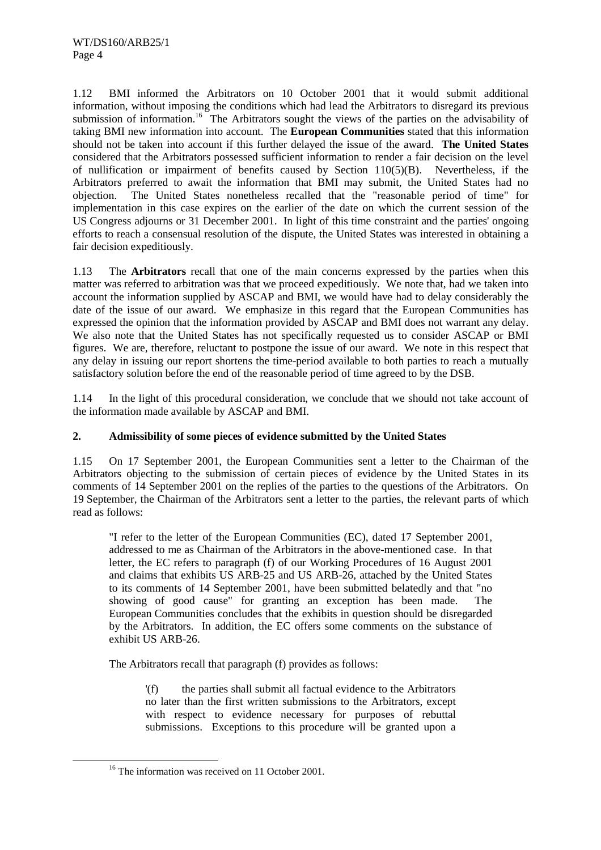1.12 BMI informed the Arbitrators on 10 October 2001 that it would submit additional information, without imposing the conditions which had lead the Arbitrators to disregard its previous submission of information.<sup>16</sup> The Arbitrators sought the views of the parties on the advisability of taking BMI new information into account. The **European Communities** stated that this information should not be taken into account if this further delayed the issue of the award. **The United States** considered that the Arbitrators possessed sufficient information to render a fair decision on the level of nullification or impairment of benefits caused by Section  $110(5)(B)$ . Nevertheless, if the Arbitrators preferred to await the information that BMI may submit, the United States had no objection. The United States nonetheless recalled that the "reasonable period of time" for implementation in this case expires on the earlier of the date on which the current session of the US Congress adjourns or 31 December 2001. In light of this time constraint and the parties' ongoing efforts to reach a consensual resolution of the dispute, the United States was interested in obtaining a fair decision expeditiously.

1.13 The **Arbitrators** recall that one of the main concerns expressed by the parties when this matter was referred to arbitration was that we proceed expeditiously. We note that, had we taken into account the information supplied by ASCAP and BMI, we would have had to delay considerably the date of the issue of our award. We emphasize in this regard that the European Communities has expressed the opinion that the information provided by ASCAP and BMI does not warrant any delay. We also note that the United States has not specifically requested us to consider ASCAP or BMI figures. We are, therefore, reluctant to postpone the issue of our award. We note in this respect that any delay in issuing our report shortens the time-period available to both parties to reach a mutually satisfactory solution before the end of the reasonable period of time agreed to by the DSB.

1.14 In the light of this procedural consideration, we conclude that we should not take account of the information made available by ASCAP and BMI.

#### **2. Admissibility of some pieces of evidence submitted by the United States**

1.15 On 17 September 2001, the European Communities sent a letter to the Chairman of the Arbitrators objecting to the submission of certain pieces of evidence by the United States in its comments of 14 September 2001 on the replies of the parties to the questions of the Arbitrators. On 19 September, the Chairman of the Arbitrators sent a letter to the parties, the relevant parts of which read as follows:

"I refer to the letter of the European Communities (EC), dated 17 September 2001, addressed to me as Chairman of the Arbitrators in the above-mentioned case. In that letter, the EC refers to paragraph (f) of our Working Procedures of 16 August 2001 and claims that exhibits US ARB-25 and US ARB-26, attached by the United States to its comments of 14 September 2001, have been submitted belatedly and that "no showing of good cause" for granting an exception has been made. The European Communities concludes that the exhibits in question should be disregarded by the Arbitrators. In addition, the EC offers some comments on the substance of exhibit US ARB-26.

The Arbitrators recall that paragraph (f) provides as follows:

'(f) the parties shall submit all factual evidence to the Arbitrators no later than the first written submissions to the Arbitrators, except with respect to evidence necessary for purposes of rebuttal submissions. Exceptions to this procedure will be granted upon a

<sup>&</sup>lt;sup>16</sup> The information was received on 11 October 2001.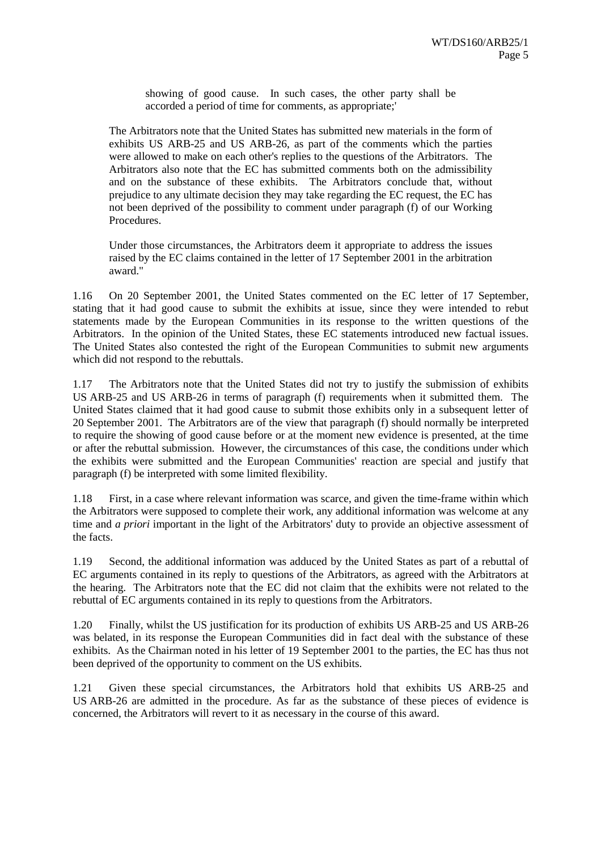showing of good cause. In such cases, the other party shall be accorded a period of time for comments, as appropriate;'

The Arbitrators note that the United States has submitted new materials in the form of exhibits US ARB-25 and US ARB-26, as part of the comments which the parties were allowed to make on each other's replies to the questions of the Arbitrators. The Arbitrators also note that the EC has submitted comments both on the admissibility and on the substance of these exhibits. The Arbitrators conclude that, without prejudice to any ultimate decision they may take regarding the EC request, the EC has not been deprived of the possibility to comment under paragraph (f) of our Working Procedures.

Under those circumstances, the Arbitrators deem it appropriate to address the issues raised by the EC claims contained in the letter of 17 September 2001 in the arbitration award."

1.16 On 20 September 2001, the United States commented on the EC letter of 17 September, stating that it had good cause to submit the exhibits at issue, since they were intended to rebut statements made by the European Communities in its response to the written questions of the Arbitrators. In the opinion of the United States, these EC statements introduced new factual issues. The United States also contested the right of the European Communities to submit new arguments which did not respond to the rebuttals.

1.17 The Arbitrators note that the United States did not try to justify the submission of exhibits US ARB-25 and US ARB-26 in terms of paragraph (f) requirements when it submitted them. The United States claimed that it had good cause to submit those exhibits only in a subsequent letter of 20 September 2001. The Arbitrators are of the view that paragraph (f) should normally be interpreted to require the showing of good cause before or at the moment new evidence is presented, at the time or after the rebuttal submission. However, the circumstances of this case, the conditions under which the exhibits were submitted and the European Communities' reaction are special and justify that paragraph (f) be interpreted with some limited flexibility.

1.18 First, in a case where relevant information was scarce, and given the time-frame within which the Arbitrators were supposed to complete their work, any additional information was welcome at any time and *a priori* important in the light of the Arbitrators' duty to provide an objective assessment of the facts.

1.19 Second, the additional information was adduced by the United States as part of a rebuttal of EC arguments contained in its reply to questions of the Arbitrators, as agreed with the Arbitrators at the hearing. The Arbitrators note that the EC did not claim that the exhibits were not related to the rebuttal of EC arguments contained in its reply to questions from the Arbitrators.

1.20 Finally, whilst the US justification for its production of exhibits US ARB-25 and US ARB-26 was belated, in its response the European Communities did in fact deal with the substance of these exhibits. As the Chairman noted in his letter of 19 September 2001 to the parties, the EC has thus not been deprived of the opportunity to comment on the US exhibits.

1.21 Given these special circumstances, the Arbitrators hold that exhibits US ARB-25 and US ARB-26 are admitted in the procedure. As far as the substance of these pieces of evidence is concerned, the Arbitrators will revert to it as necessary in the course of this award.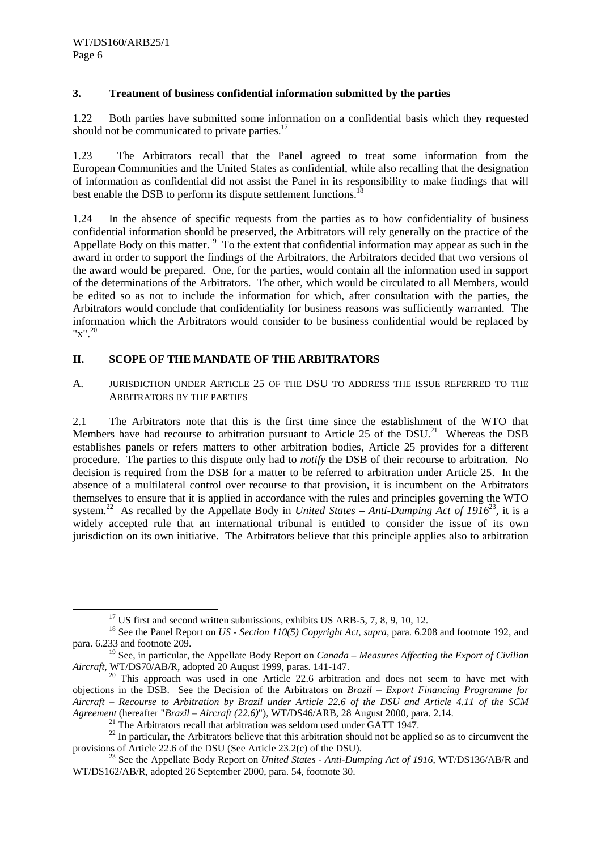#### **3. Treatment of business confidential information submitted by the parties**

1.22 Both parties have submitted some information on a confidential basis which they requested should not be communicated to private parties.<sup>17</sup>

1.23 The Arbitrators recall that the Panel agreed to treat some information from the European Communities and the United States as confidential, while also recalling that the designation of information as confidential did not assist the Panel in its responsibility to make findings that will best enable the DSB to perform its dispute settlement functions.<sup>18</sup>

1.24 In the absence of specific requests from the parties as to how confidentiality of business confidential information should be preserved, the Arbitrators will rely generally on the practice of the Appellate Body on this matter.<sup>19</sup> To the extent that confidential information may appear as such in the award in order to support the findings of the Arbitrators, the Arbitrators decided that two versions of the award would be prepared. One, for the parties, would contain all the information used in support of the determinations of the Arbitrators. The other, which would be circulated to all Members, would be edited so as not to include the information for which, after consultation with the parties, the Arbitrators would conclude that confidentiality for business reasons was sufficiently warranted. The information which the Arbitrators would consider to be business confidential would be replaced by "x".<sup>20</sup>

#### **II. SCOPE OF THE MANDATE OF THE ARBITRATORS**

A. JURISDICTION UNDER ARTICLE 25 OF THE DSU TO ADDRESS THE ISSUE REFERRED TO THE ARBITRATORS BY THE PARTIES

2.1 The Arbitrators note that this is the first time since the establishment of the WTO that Members have had recourse to arbitration pursuant to Article 25 of the DSU.<sup>21</sup> Whereas the DSB establishes panels or refers matters to other arbitration bodies, Article 25 provides for a different procedure. The parties to this dispute only had to *notify* the DSB of their recourse to arbitration. No decision is required from the DSB for a matter to be referred to arbitration under Article 25. In the absence of a multilateral control over recourse to that provision, it is incumbent on the Arbitrators themselves to ensure that it is applied in accordance with the rules and principles governing the WTO system.<sup>22</sup> As recalled by the Appellate Body in *United States – Anti-Dumping Act of 1916*<sup>23</sup>, it is a widely accepted rule that an international tribunal is entitled to consider the issue of its own jurisdiction on its own initiative. The Arbitrators believe that this principle applies also to arbitration

 $17 \text{ US first}$  and second written submissions, exhibits US ARB-5, 7, 8, 9, 10, 12.

<sup>18</sup> See the Panel Report on *US - Section 110(5) Copyright Act*, *supra*, para. 6.208 and footnote 192, and para. 6.233 and footnote 209.

<sup>19</sup> See, in particular, the Appellate Body Report on *Canada – Measures Affecting the Export of Civilian Aircraft*, WT/DS70/AB/R, adopted 20 August 1999, paras. 141-147.

 $20$  This approach was used in one Article 22.6 arbitration and does not seem to have met with objections in the DSB. See the Decision of the Arbitrators on *Brazil – Export Financing Programme for Aircraft – Recourse to Arbitration by Brazil under Article 22.6 of the DSU and Article 4.11 of the SCM*

<sup>&</sup>lt;sup>21</sup> The Arbitrators recall that arbitration was seldom used under GATT 1947.<br><sup>22</sup> In particular, the Arbitrators believe that this arbitration should not be applied so as to circumvent the provisions of Article 22.6 of the DSU (See Article 23.2(c) of the DSU).<br><sup>23</sup> See the Appellate Body Report on *United States - Anti-Dumping Act of 1916*, WT/DS136/AB/R and

WT/DS162/AB/R, adopted 26 September 2000, para. 54, footnote 30.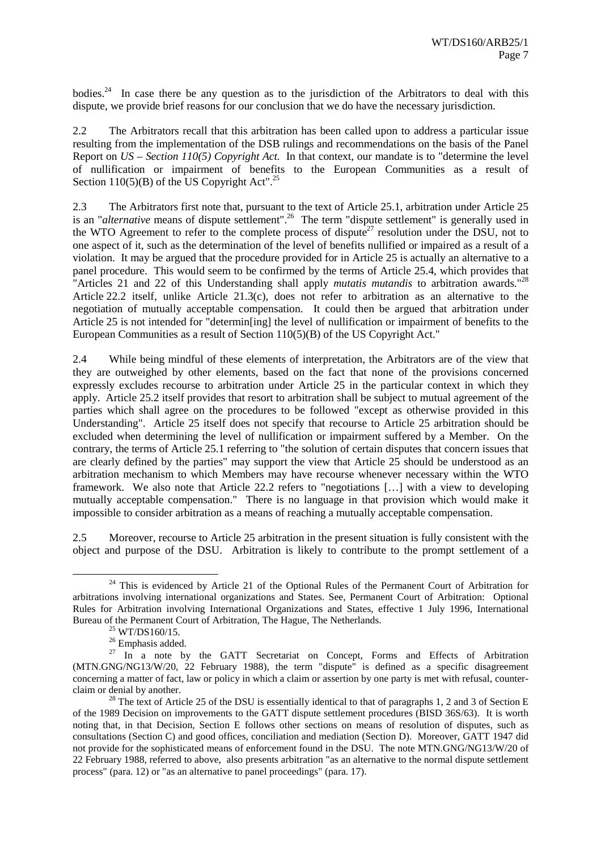bodies.<sup>24</sup> In case there be any question as to the jurisdiction of the Arbitrators to deal with this dispute, we provide brief reasons for our conclusion that we do have the necessary jurisdiction.

2.2 The Arbitrators recall that this arbitration has been called upon to address a particular issue resulting from the implementation of the DSB rulings and recommendations on the basis of the Panel Report on *US – Section 110(5) Copyright Act.* In that context, our mandate is to "determine the level of nullification or impairment of benefits to the European Communities as a result of Section 110(5)(B) of the US Copyright Act".<sup>25</sup>

2.3 The Arbitrators first note that, pursuant to the text of Article 25.1, arbitration under Article 25 is an "*alternative* means of dispute settlement".<sup>26</sup> The term "dispute settlement" is generally used in the WTO Agreement to refer to the complete process of dispute<sup>27</sup> resolution under the DSU, not to one aspect of it, such as the determination of the level of benefits nullified or impaired as a result of a violation. It may be argued that the procedure provided for in Article 25 is actually an alternative to a panel procedure. This would seem to be confirmed by the terms of Article 25.4, which provides that "Articles 21 and 22 of this Understanding shall apply *mutatis mutandis* to arbitration awards."28 Article 22.2 itself, unlike Article 21.3(c), does not refer to arbitration as an alternative to the negotiation of mutually acceptable compensation. It could then be argued that arbitration under Article 25 is not intended for "determin[ing] the level of nullification or impairment of benefits to the European Communities as a result of Section 110(5)(B) of the US Copyright Act."

2.4 While being mindful of these elements of interpretation, the Arbitrators are of the view that they are outweighed by other elements, based on the fact that none of the provisions concerned expressly excludes recourse to arbitration under Article 25 in the particular context in which they apply. Article 25.2 itself provides that resort to arbitration shall be subject to mutual agreement of the parties which shall agree on the procedures to be followed "except as otherwise provided in this Understanding". Article 25 itself does not specify that recourse to Article 25 arbitration should be excluded when determining the level of nullification or impairment suffered by a Member. On the contrary, the terms of Article 25.1 referring to "the solution of certain disputes that concern issues that are clearly defined by the parties" may support the view that Article 25 should be understood as an arbitration mechanism to which Members may have recourse whenever necessary within the WTO framework. We also note that Article 22.2 refers to "negotiations […] with a view to developing mutually acceptable compensation." There is no language in that provision which would make it impossible to consider arbitration as a means of reaching a mutually acceptable compensation.

2.5 Moreover, recourse to Article 25 arbitration in the present situation is fully consistent with the object and purpose of the DSU. Arbitration is likely to contribute to the prompt settlement of a

<sup>&</sup>lt;sup>24</sup> This is evidenced by Article 21 of the Optional Rules of the Permanent Court of Arbitration for arbitrations involving international organizations and States. See, Permanent Court of Arbitration: Optional Rules for Arbitration involving International Organizations and States, effective 1 July 1996, International Bureau of the Permanent Court of Arbitration, The Hague, The Netherlands.<br><sup>25</sup> WT/DS160/15.

<sup>&</sup>lt;sup>26</sup> Emphasis added.

 $27 \text{ In a note by the GATT Secretariat on Concept, Forms and Effects of Arbitration.}$ (MTN.GNG/NG13/W/20, 22 February 1988), the term "dispute" is defined as a specific disagreement concerning a matter of fact, law or policy in which a claim or assertion by one party is met with refusal, counterclaim or denial by another. 28 The text of Article 25 of the DSU is essentially identical to that of paragraphs 1, 2 and 3 of Section E

of the 1989 Decision on improvements to the GATT dispute settlement procedures (BISD 36S/63). It is worth noting that, in that Decision, Section E follows other sections on means of resolution of disputes, such as consultations (Section C) and good offices, conciliation and mediation (Section D). Moreover, GATT 1947 did not provide for the sophisticated means of enforcement found in the DSU. The note MTN.GNG/NG13/W/20 of 22 February 1988, referred to above, also presents arbitration "as an alternative to the normal dispute settlement process" (para. 12) or "as an alternative to panel proceedings" (para. 17).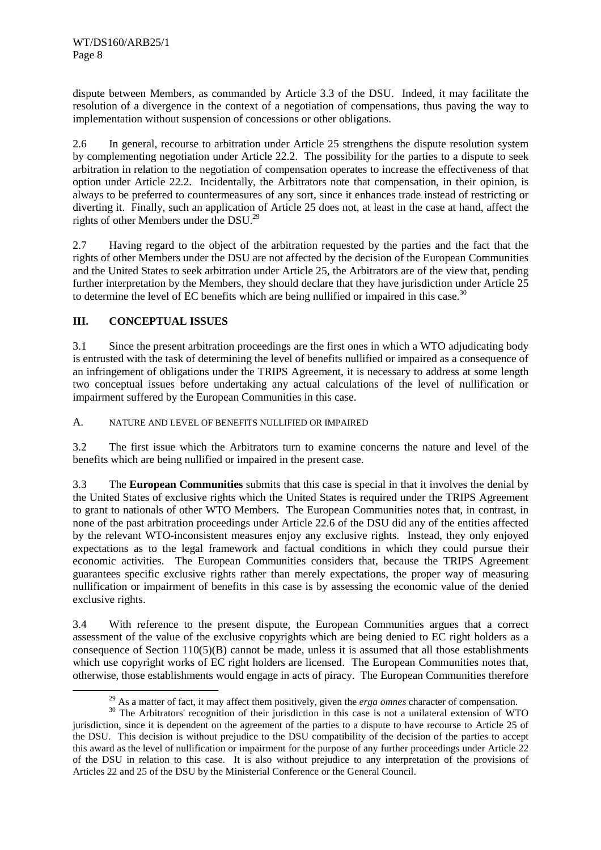dispute between Members, as commanded by Article 3.3 of the DSU. Indeed, it may facilitate the resolution of a divergence in the context of a negotiation of compensations, thus paving the way to implementation without suspension of concessions or other obligations.

2.6 In general, recourse to arbitration under Article 25 strengthens the dispute resolution system by complementing negotiation under Article 22.2. The possibility for the parties to a dispute to seek arbitration in relation to the negotiation of compensation operates to increase the effectiveness of that option under Article 22.2. Incidentally, the Arbitrators note that compensation, in their opinion, is always to be preferred to countermeasures of any sort, since it enhances trade instead of restricting or diverting it. Finally, such an application of Article 25 does not, at least in the case at hand, affect the rights of other Members under the DSU.29

2.7 Having regard to the object of the arbitration requested by the parties and the fact that the rights of other Members under the DSU are not affected by the decision of the European Communities and the United States to seek arbitration under Article 25, the Arbitrators are of the view that, pending further interpretation by the Members, they should declare that they have jurisdiction under Article 25 to determine the level of EC benefits which are being nullified or impaired in this case.<sup>30</sup>

#### **III. CONCEPTUAL ISSUES**

3.1 Since the present arbitration proceedings are the first ones in which a WTO adjudicating body is entrusted with the task of determining the level of benefits nullified or impaired as a consequence of an infringement of obligations under the TRIPS Agreement, it is necessary to address at some length two conceptual issues before undertaking any actual calculations of the level of nullification or impairment suffered by the European Communities in this case.

#### A. NATURE AND LEVEL OF BENEFITS NULLIFIED OR IMPAIRED

3.2 The first issue which the Arbitrators turn to examine concerns the nature and level of the benefits which are being nullified or impaired in the present case.

3.3 The **European Communities** submits that this case is special in that it involves the denial by the United States of exclusive rights which the United States is required under the TRIPS Agreement to grant to nationals of other WTO Members. The European Communities notes that, in contrast, in none of the past arbitration proceedings under Article 22.6 of the DSU did any of the entities affected by the relevant WTO-inconsistent measures enjoy any exclusive rights. Instead, they only enjoyed expectations as to the legal framework and factual conditions in which they could pursue their economic activities. The European Communities considers that, because the TRIPS Agreement guarantees specific exclusive rights rather than merely expectations, the proper way of measuring nullification or impairment of benefits in this case is by assessing the economic value of the denied exclusive rights.

3.4 With reference to the present dispute, the European Communities argues that a correct assessment of the value of the exclusive copyrights which are being denied to EC right holders as a consequence of Section 110(5)(B) cannot be made, unless it is assumed that all those establishments which use copyright works of EC right holders are licensed. The European Communities notes that, otherwise, those establishments would engage in acts of piracy. The European Communities therefore

<sup>&</sup>lt;sup>29</sup> As a matter of fact, it may affect them positively, given the *erga omnes* character of compensation. <sup>30</sup> The Arbitrators' recognition of their jurisdiction in this case is not a unilateral extension of WTO

jurisdiction, since it is dependent on the agreement of the parties to a dispute to have recourse to Article 25 of the DSU. This decision is without prejudice to the DSU compatibility of the decision of the parties to accept this award as the level of nullification or impairment for the purpose of any further proceedings under Article 22 of the DSU in relation to this case. It is also without prejudice to any interpretation of the provisions of Articles 22 and 25 of the DSU by the Ministerial Conference or the General Council.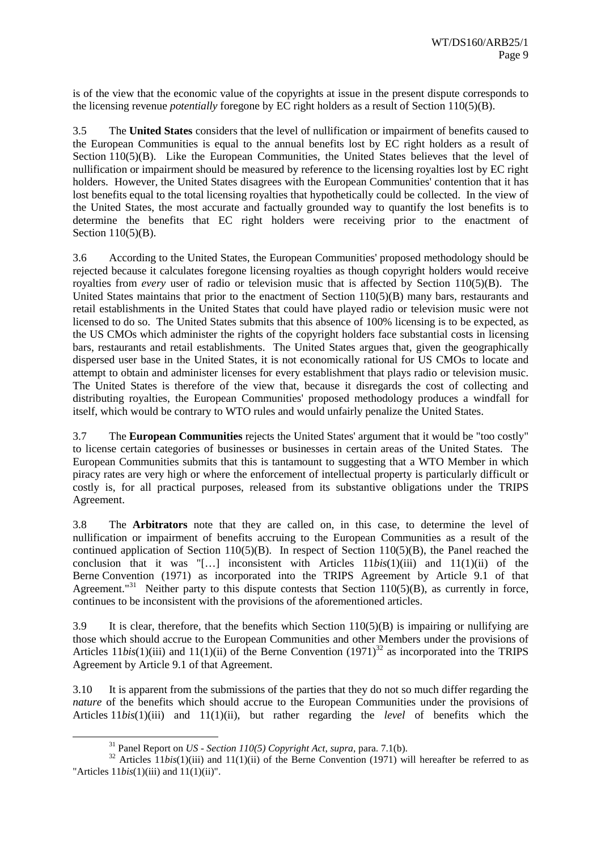is of the view that the economic value of the copyrights at issue in the present dispute corresponds to the licensing revenue *potentially* foregone by EC right holders as a result of Section 110(5)(B).

3.5 The **United States** considers that the level of nullification or impairment of benefits caused to the European Communities is equal to the annual benefits lost by EC right holders as a result of Section 110(5)(B). Like the European Communities, the United States believes that the level of nullification or impairment should be measured by reference to the licensing royalties lost by EC right holders. However, the United States disagrees with the European Communities' contention that it has lost benefits equal to the total licensing royalties that hypothetically could be collected. In the view of the United States, the most accurate and factually grounded way to quantify the lost benefits is to determine the benefits that EC right holders were receiving prior to the enactment of Section 110(5)(B).

3.6 According to the United States, the European Communities' proposed methodology should be rejected because it calculates foregone licensing royalties as though copyright holders would receive royalties from *every* user of radio or television music that is affected by Section 110(5)(B). The United States maintains that prior to the enactment of Section 110(5)(B) many bars, restaurants and retail establishments in the United States that could have played radio or television music were not licensed to do so. The United States submits that this absence of 100% licensing is to be expected, as the US CMOs which administer the rights of the copyright holders face substantial costs in licensing bars, restaurants and retail establishments. The United States argues that, given the geographically dispersed user base in the United States, it is not economically rational for US CMOs to locate and attempt to obtain and administer licenses for every establishment that plays radio or television music. The United States is therefore of the view that, because it disregards the cost of collecting and distributing royalties, the European Communities' proposed methodology produces a windfall for itself, which would be contrary to WTO rules and would unfairly penalize the United States.

3.7 The **European Communities** rejects the United States' argument that it would be "too costly" to license certain categories of businesses or businesses in certain areas of the United States. The European Communities submits that this is tantamount to suggesting that a WTO Member in which piracy rates are very high or where the enforcement of intellectual property is particularly difficult or costly is, for all practical purposes, released from its substantive obligations under the TRIPS Agreement.

3.8 The **Arbitrators** note that they are called on, in this case, to determine the level of nullification or impairment of benefits accruing to the European Communities as a result of the continued application of Section 110(5)(B). In respect of Section 110(5)(B), the Panel reached the conclusion that it was "[…] inconsistent with Articles 11*bis*(1)(iii) and 11(1)(ii) of the Berne Convention (1971) as incorporated into the TRIPS Agreement by Article 9.1 of that Agreement."<sup>31</sup> Neither party to this dispute contests that Section  $110(5)(B)$ , as currently in force, continues to be inconsistent with the provisions of the aforementioned articles.

3.9 It is clear, therefore, that the benefits which Section  $110(5)(B)$  is impairing or nullifying are those which should accrue to the European Communities and other Members under the provisions of Articles 11*bis*(1)(iii) and 11(1)(ii) of the Berne Convention (1971)<sup>32</sup> as incorporated into the TRIPS Agreement by Article 9.1 of that Agreement.

3.10 It is apparent from the submissions of the parties that they do not so much differ regarding the *nature* of the benefits which should accrue to the European Communities under the provisions of Articles 11*bis*(1)(iii) and 11(1)(ii), but rather regarding the *level* of benefits which the

<sup>&</sup>lt;sup>31</sup> Panel Report on *US - Section 110(5) Copyright Act*, *supra*, para. 7.1(b).<br><sup>32</sup> Articles 11*bis*(1)(iii) and 11(1)(ii) of the Berne Convention (1971) will hereafter be referred to as "Articles 11*bis*(1)(iii) and 11(1)(ii)".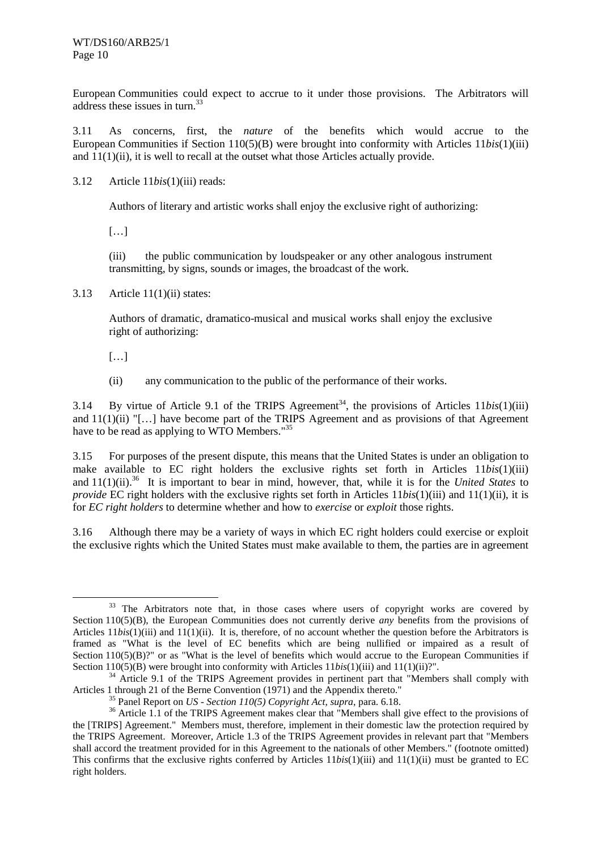European Communities could expect to accrue to it under those provisions. The Arbitrators will address these issues in turn.<sup>33</sup>

3.11 As concerns, first, the *nature* of the benefits which would accrue to the European Communities if Section 110(5)(B) were brought into conformity with Articles 11*bis*(1)(iii) and  $11(1)(ii)$ , it is well to recall at the outset what those Articles actually provide.

3.12 Article 11*bis*(1)(iii) reads:

Authors of literary and artistic works shall enjoy the exclusive right of authorizing:

[…]

(iii) the public communication by loudspeaker or any other analogous instrument transmitting, by signs, sounds or images, the broadcast of the work.

3.13 Article 11(1)(ii) states:

Authors of dramatic, dramatico-musical and musical works shall enjoy the exclusive right of authorizing:

- […]
- (ii) any communication to the public of the performance of their works.

3.14 By virtue of Article 9.1 of the TRIPS Agreement<sup>34</sup>, the provisions of Articles  $11b$ is(1)(iii) and  $11(1)(ii)$  "[...] have become part of the TRIPS Agreement and as provisions of that Agreement have to be read as applying to WTO Members."<sup>35</sup>

3.15 For purposes of the present dispute, this means that the United States is under an obligation to make available to EC right holders the exclusive rights set forth in Articles 11*bis*(1)(iii) and 11(1)(ii).<sup>36</sup> It is important to bear in mind, however, that, while it is for the *United States* to *provide* EC right holders with the exclusive rights set forth in Articles 11*bis*(1)(iii) and 11(1)(ii), it is for *EC right holders* to determine whether and how to *exercise* or *exploit* those rights.

3.16 Although there may be a variety of ways in which EC right holders could exercise or exploit the exclusive rights which the United States must make available to them, the parties are in agreement

 $33$  The Arbitrators note that, in those cases where users of copyright works are covered by Section 110(5)(B), the European Communities does not currently derive *any* benefits from the provisions of Articles 11*bis*(1)(iii) and 11(1)(ii). It is, therefore, of no account whether the question before the Arbitrators is framed as "What is the level of EC benefits which are being nullified or impaired as a result of Section 110(5)(B)?" or as "What is the level of benefits which would accrue to the European Communities if

Section 110(5)(B) were brought into conformity with Articles 11*bis*(1)(iii) and 11(1)(ii)?".<br><sup>34</sup> Article 9.1 of the TRIPS Agreement provides in pertinent part that "Members shall comply with<br>Articles 1 through 21 of the

<sup>&</sup>lt;sup>35</sup> Panel Report on *US* - *Section 110(5) Copyright Act, supra, para.* 6.18.<br><sup>36</sup> Article 1.1 of the TRIPS Agreement makes clear that "Members shall give effect to the provisions of the [TRIPS] Agreement." Members must, therefore, implement in their domestic law the protection required by the TRIPS Agreement. Moreover, Article 1.3 of the TRIPS Agreement provides in relevant part that "Members shall accord the treatment provided for in this Agreement to the nationals of other Members." (footnote omitted) This confirms that the exclusive rights conferred by Articles 11*bis*(1)(iii) and 11(1)(ii) must be granted to EC right holders.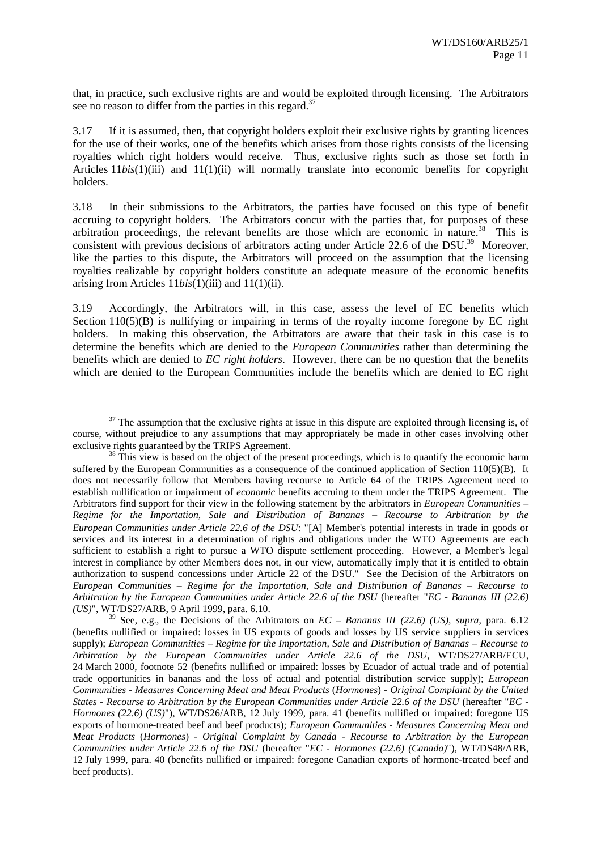that, in practice, such exclusive rights are and would be exploited through licensing. The Arbitrators see no reason to differ from the parties in this regard.<sup>37</sup>

3.17 If it is assumed, then, that copyright holders exploit their exclusive rights by granting licences for the use of their works, one of the benefits which arises from those rights consists of the licensing royalties which right holders would receive. Thus, exclusive rights such as those set forth in Articles 11*bis*(1)(iii) and 11(1)(ii) will normally translate into economic benefits for copyright holders.

3.18 In their submissions to the Arbitrators, the parties have focused on this type of benefit accruing to copyright holders. The Arbitrators concur with the parties that, for purposes of these arbitration proceedings, the relevant benefits are those which are economic in nature.<sup>38</sup> This is consistent with previous decisions of arbitrators acting under Article 22.6 of the DSU.<sup>39</sup> Moreover, like the parties to this dispute, the Arbitrators will proceed on the assumption that the licensing royalties realizable by copyright holders constitute an adequate measure of the economic benefits arising from Articles 11*bis*(1)(iii) and 11(1)(ii).

3.19 Accordingly, the Arbitrators will, in this case, assess the level of EC benefits which Section  $110(5)(B)$  is nullifying or impairing in terms of the royalty income foregone by EC right holders. In making this observation, the Arbitrators are aware that their task in this case is to determine the benefits which are denied to the *European Communities* rather than determining the benefits which are denied to *EC right holders*. However, there can be no question that the benefits which are denied to the European Communities include the benefits which are denied to EC right

 $37$  The assumption that the exclusive rights at issue in this dispute are exploited through licensing is, of course, without prejudice to any assumptions that may appropriately be made in other cases involving other exclusive rights guaranteed by the TRIPS Agreement.<br><sup>38</sup> This view is based on the object of the present proceedings, which is to quantify the economic harm

suffered by the European Communities as a consequence of the continued application of Section 110(5)(B). It does not necessarily follow that Members having recourse to Article 64 of the TRIPS Agreement need to establish nullification or impairment of *economic* benefits accruing to them under the TRIPS Agreement. The Arbitrators find support for their view in the following statement by the arbitrators in *European Communities – Regime for the Importation, Sale and Distribution of Bananas – Recourse to Arbitration by the European Communities under Article 22.6 of the DSU*: "[A] Member's potential interests in trade in goods or services and its interest in a determination of rights and obligations under the WTO Agreements are each sufficient to establish a right to pursue a WTO dispute settlement proceeding. However, a Member's legal interest in compliance by other Members does not, in our view, automatically imply that it is entitled to obtain authorization to suspend concessions under Article 22 of the DSU." See the Decision of the Arbitrators on *European Communities – Regime for the Importation, Sale and Distribution of Bananas – Recourse to Arbitration by the European Communities under Article 22.6 of the DSU* (hereafter "*EC - Bananas III (22.6) (US)*", WT/DS27/ARB, 9 April 1999, para. 6.10.

<sup>39</sup> See, e.g., the Decisions of the Arbitrators on *EC – Bananas III (22.6) (US)*, *supra*, para. 6.12 (benefits nullified or impaired: losses in US exports of goods and losses by US service suppliers in services supply); *European Communities – Regime for the Importation, Sale and Distribution of Bananas – Recourse to Arbitration by the European Communities under Article 22.6 of the DSU*, WT/DS27/ARB/ECU, 24 March 2000, footnote 52 (benefits nullified or impaired: losses by Ecuador of actual trade and of potential trade opportunities in bananas and the loss of actual and potential distribution service supply); *European Communities - Measures Concerning Meat and Meat Products* (*Hormones*) *- Original Complaint by the United States - Recourse to Arbitration by the European Communities under Article 22.6 of the DSU* (hereafter "*EC - Hormones (22.6) (US)*"), WT/DS26/ARB, 12 July 1999, para. 41 (benefits nullified or impaired: foregone US exports of hormone-treated beef and beef products); *European Communities - Measures Concerning Meat and Meat Products* (*Hormones*) *- Original Complaint by Canada - Recourse to Arbitration by the European Communities under Article 22.6 of the DSU* (hereafter "*EC - Hormones (22.6) (Canada)*"), WT/DS48/ARB, 12 July 1999, para. 40 (benefits nullified or impaired: foregone Canadian exports of hormone-treated beef and beef products).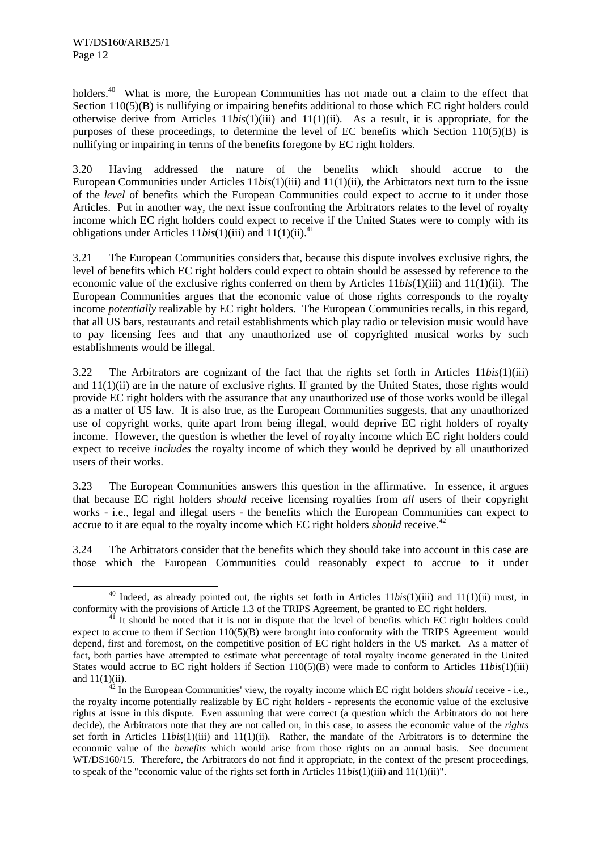holders.<sup>40</sup> What is more, the European Communities has not made out a claim to the effect that Section 110(5)(B) is nullifying or impairing benefits additional to those which EC right holders could otherwise derive from Articles 11*bis*(1)(iii) and 11(1)(ii). As a result, it is appropriate, for the purposes of these proceedings, to determine the level of EC benefits which Section  $110(5)(B)$  is nullifying or impairing in terms of the benefits foregone by EC right holders.

3.20 Having addressed the nature of the benefits which should accrue to the European Communities under Articles 11*bis*(1)(iii) and 11(1)(ii), the Arbitrators next turn to the issue of the *level* of benefits which the European Communities could expect to accrue to it under those Articles. Put in another way, the next issue confronting the Arbitrators relates to the level of royalty income which EC right holders could expect to receive if the United States were to comply with its obligations under Articles  $11bis(1)(iii)$  and  $11(1)(ii)$ .<sup>41</sup>

3.21 The European Communities considers that, because this dispute involves exclusive rights, the level of benefits which EC right holders could expect to obtain should be assessed by reference to the economic value of the exclusive rights conferred on them by Articles 11*bis*(1)(iii) and 11(1)(ii). The European Communities argues that the economic value of those rights corresponds to the royalty income *potentially* realizable by EC right holders. The European Communities recalls, in this regard, that all US bars, restaurants and retail establishments which play radio or television music would have to pay licensing fees and that any unauthorized use of copyrighted musical works by such establishments would be illegal.

3.22 The Arbitrators are cognizant of the fact that the rights set forth in Articles 11*bis*(1)(iii) and  $11(1)(ii)$  are in the nature of exclusive rights. If granted by the United States, those rights would provide EC right holders with the assurance that any unauthorized use of those works would be illegal as a matter of US law. It is also true, as the European Communities suggests, that any unauthorized use of copyright works, quite apart from being illegal, would deprive EC right holders of royalty income. However, the question is whether the level of royalty income which EC right holders could expect to receive *includes* the royalty income of which they would be deprived by all unauthorized users of their works.

3.23 The European Communities answers this question in the affirmative. In essence, it argues that because EC right holders *should* receive licensing royalties from *all* users of their copyright works - i.e., legal and illegal users - the benefits which the European Communities can expect to accrue to it are equal to the royalty income which EC right holders *should* receive.<sup>42</sup>

3.24 The Arbitrators consider that the benefits which they should take into account in this case are those which the European Communities could reasonably expect to accrue to it under

<sup>&</sup>lt;sup>40</sup> Indeed, as already pointed out, the rights set forth in Articles 11*bis*(1)(iii) and 11(1)(ii) must, in conformity with the provisions of Article 1.3 of the TRIPS Agreement, be granted to EC right holders.<br><sup>41</sup> It should be noted that it is not in dispute that the level of benefits which EC right holders could

expect to accrue to them if Section 110(5)(B) were brought into conformity with the TRIPS Agreement would depend, first and foremost, on the competitive position of EC right holders in the US market. As a matter of fact, both parties have attempted to estimate what percentage of total royalty income generated in the United States would accrue to EC right holders if Section 110(5)(B) were made to conform to Articles 11*bis*(1)(iii) and  $11(1)(ii)$ .<br><sup>42</sup> In the European Communities' view, the royalty income which EC right holders *should* receive - i.e.,

the royalty income potentially realizable by EC right holders - represents the economic value of the exclusive rights at issue in this dispute. Even assuming that were correct (a question which the Arbitrators do not here decide), the Arbitrators note that they are not called on, in this case, to assess the economic value of the *rights* set forth in Articles 11*bis*(1)(iii) and 11(1)(ii). Rather, the mandate of the Arbitrators is to determine the economic value of the *benefits* which would arise from those rights on an annual basis. See document WT/DS160/15. Therefore, the Arbitrators do not find it appropriate, in the context of the present proceedings, to speak of the "economic value of the rights set forth in Articles 11*bis*(1)(iii) and 11(1)(ii)".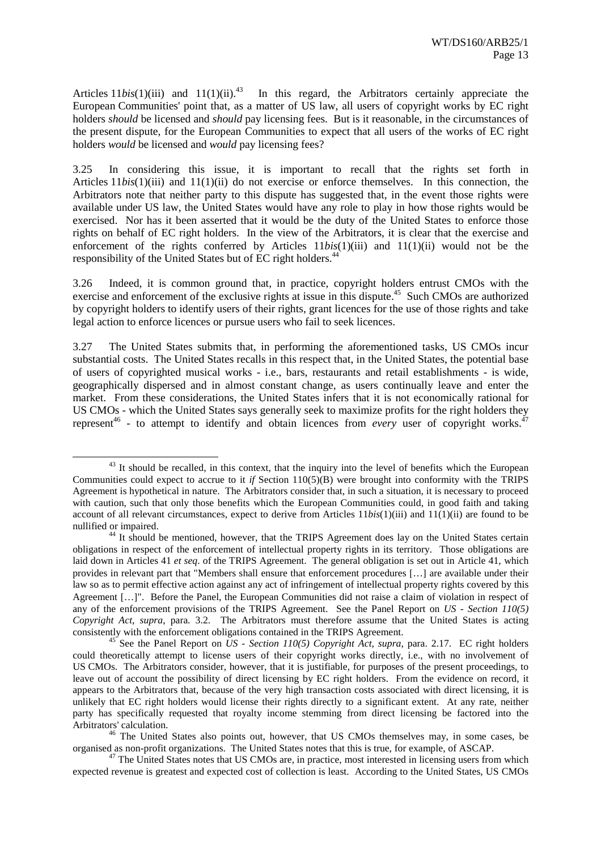Articles  $11bis(1)(iii)$  and  $11(1)(ii).<sup>43</sup>$  In this regard, the Arbitrators certainly appreciate the European Communities' point that, as a matter of US law, all users of copyright works by EC right holders *should* be licensed and *should* pay licensing fees. But is it reasonable, in the circumstances of the present dispute, for the European Communities to expect that all users of the works of EC right holders *would* be licensed and *would* pay licensing fees?

3.25 In considering this issue, it is important to recall that the rights set forth in Articles 11*bis*(1)(iii) and 11(1)(ii) do not exercise or enforce themselves. In this connection, the Arbitrators note that neither party to this dispute has suggested that, in the event those rights were available under US law, the United States would have any role to play in how those rights would be exercised. Nor has it been asserted that it would be the duty of the United States to enforce those rights on behalf of EC right holders. In the view of the Arbitrators, it is clear that the exercise and enforcement of the rights conferred by Articles 11*bis*(1)(iii) and 11(1)(ii) would not be the responsibility of the United States but of EC right holders.<sup>44</sup>

3.26 Indeed, it is common ground that, in practice, copyright holders entrust CMOs with the exercise and enforcement of the exclusive rights at issue in this dispute.<sup>45</sup> Such CMOs are authorized by copyright holders to identify users of their rights, grant licences for the use of those rights and take legal action to enforce licences or pursue users who fail to seek licences.

3.27 The United States submits that, in performing the aforementioned tasks, US CMOs incur substantial costs. The United States recalls in this respect that, in the United States, the potential base of users of copyrighted musical works - i.e., bars, restaurants and retail establishments - is wide, geographically dispersed and in almost constant change, as users continually leave and enter the market. From these considerations, the United States infers that it is not economically rational for US CMOs - which the United States says generally seek to maximize profits for the right holders they represent<sup>46</sup> - to attempt to identify and obtain licences from *every* user of copyright works.<sup>47</sup>

 $43$  It should be recalled, in this context, that the inquiry into the level of benefits which the European Communities could expect to accrue to it *if* Section 110(5)(B) were brought into conformity with the TRIPS Agreement is hypothetical in nature. The Arbitrators consider that, in such a situation, it is necessary to proceed with caution, such that only those benefits which the European Communities could, in good faith and taking account of all relevant circumstances, expect to derive from Articles 11*bis*(1)(iii) and 11(1)(ii) are found to be nullified or impaired.<br><sup>44</sup> It should be mentioned, however, that the TRIPS Agreement does lay on the United States certain

obligations in respect of the enforcement of intellectual property rights in its territory. Those obligations are laid down in Articles 41 *et seq*. of the TRIPS Agreement. The general obligation is set out in Article 41, which provides in relevant part that "Members shall ensure that enforcement procedures […] are available under their law so as to permit effective action against any act of infringement of intellectual property rights covered by this Agreement […]". Before the Panel, the European Communities did not raise a claim of violation in respect of any of the enforcement provisions of the TRIPS Agreement. See the Panel Report on *US - Section 110(5) Copyright Act*, *supra*, para. 3.2. The Arbitrators must therefore assume that the United States is acting consistently with the enforcement obligations contained in the TRIPS Agreement. 45 See the Panel Report on *US - Section 110(5) Copyright Act*, *supra*, para. 2.17. EC right holders

could theoretically attempt to license users of their copyright works directly, i.e., with no involvement of US CMOs. The Arbitrators consider, however, that it is justifiable, for purposes of the present proceedings, to leave out of account the possibility of direct licensing by EC right holders. From the evidence on record, it appears to the Arbitrators that, because of the very high transaction costs associated with direct licensing, it is unlikely that EC right holders would license their rights directly to a significant extent. At any rate, neither party has specifically requested that royalty income stemming from direct licensing be factored into the

<sup>&</sup>lt;sup>46</sup> The United States also points out, however, that US CMOs themselves may, in some cases, be organised as non-profit organizations. The United States notes that this is true, for example, of ASCAP.

<sup>&</sup>lt;sup>47</sup> The United States notes that US CMOs are, in practice, most interested in licensing users from which expected revenue is greatest and expected cost of collection is least. According to the United States, US CMOs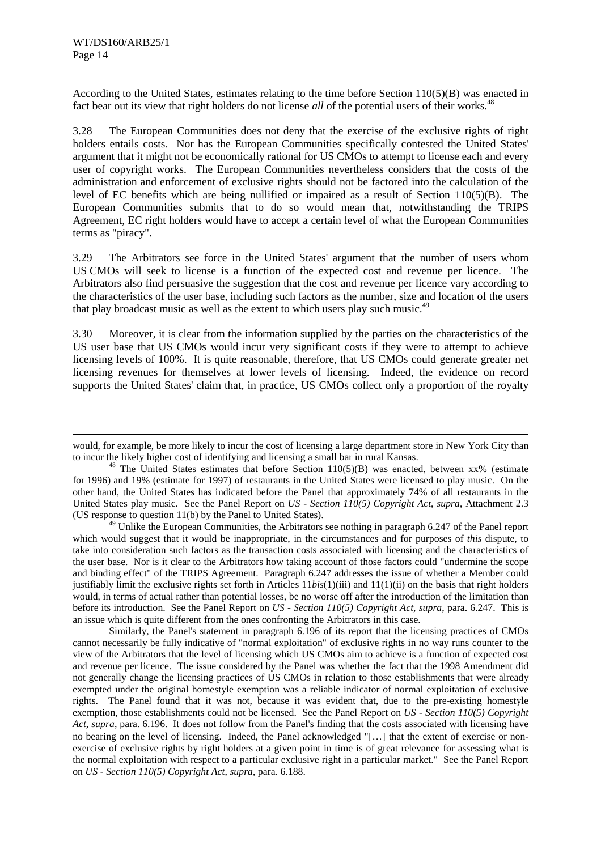l

According to the United States, estimates relating to the time before Section 110(5)(B) was enacted in fact bear out its view that right holders do not license *all* of the potential users of their works.<sup>48</sup>

3.28 The European Communities does not deny that the exercise of the exclusive rights of right holders entails costs. Nor has the European Communities specifically contested the United States' argument that it might not be economically rational for US CMOs to attempt to license each and every user of copyright works. The European Communities nevertheless considers that the costs of the administration and enforcement of exclusive rights should not be factored into the calculation of the level of EC benefits which are being nullified or impaired as a result of Section 110(5)(B). The European Communities submits that to do so would mean that, notwithstanding the TRIPS Agreement, EC right holders would have to accept a certain level of what the European Communities terms as "piracy".

3.29 The Arbitrators see force in the United States' argument that the number of users whom US CMOs will seek to license is a function of the expected cost and revenue per licence. The Arbitrators also find persuasive the suggestion that the cost and revenue per licence vary according to the characteristics of the user base, including such factors as the number, size and location of the users that play broadcast music as well as the extent to which users play such music.<sup>49</sup>

3.30 Moreover, it is clear from the information supplied by the parties on the characteristics of the US user base that US CMOs would incur very significant costs if they were to attempt to achieve licensing levels of 100%. It is quite reasonable, therefore, that US CMOs could generate greater net licensing revenues for themselves at lower levels of licensing. Indeed, the evidence on record supports the United States' claim that, in practice, US CMOs collect only a proportion of the royalty

<sup>49</sup> Unlike the European Communities, the Arbitrators see nothing in paragraph 6.247 of the Panel report which would suggest that it would be inappropriate, in the circumstances and for purposes of *this* dispute, to take into consideration such factors as the transaction costs associated with licensing and the characteristics of the user base. Nor is it clear to the Arbitrators how taking account of those factors could "undermine the scope and binding effect" of the TRIPS Agreement. Paragraph 6.247 addresses the issue of whether a Member could justifiably limit the exclusive rights set forth in Articles 11*bis*(1)(iii) and 11(1)(ii) on the basis that right holders would, in terms of actual rather than potential losses, be no worse off after the introduction of the limitation than before its introduction. See the Panel Report on *US - Section 110(5) Copyright Act*, *supra*, para. 6.247. This is an issue which is quite different from the ones confronting the Arbitrators in this case.

Similarly, the Panel's statement in paragraph 6.196 of its report that the licensing practices of CMOs cannot necessarily be fully indicative of "normal exploitation" of exclusive rights in no way runs counter to the view of the Arbitrators that the level of licensing which US CMOs aim to achieve is a function of expected cost and revenue per licence. The issue considered by the Panel was whether the fact that the 1998 Amendment did not generally change the licensing practices of US CMOs in relation to those establishments that were already exempted under the original homestyle exemption was a reliable indicator of normal exploitation of exclusive rights. The Panel found that it was not, because it was evident that, due to the pre-existing homestyle exemption, those establishments could not be licensed. See the Panel Report on *US - Section 110(5) Copyright Act*, *supra*, para. 6.196. It does not follow from the Panel's finding that the costs associated with licensing have no bearing on the level of licensing. Indeed, the Panel acknowledged "[…] that the extent of exercise or nonexercise of exclusive rights by right holders at a given point in time is of great relevance for assessing what is the normal exploitation with respect to a particular exclusive right in a particular market." See the Panel Report on *US - Section 110(5) Copyright Act*, *supra*, para. 6.188.

would, for example, be more likely to incur the cost of licensing a large department store in New York City than to incur the likely higher cost of identifying and licensing a small bar in rural Kansas.<br><sup>48</sup> The United States estimates that before Section 110(5)(B) was enacted, between xx% (estimate

for 1996) and 19% (estimate for 1997) of restaurants in the United States were licensed to play music. On the other hand, the United States has indicated before the Panel that approximately 74% of all restaurants in the United States play music. See the Panel Report on *US - Section 110(5) Copyright Act*, *supra*, Attachment 2.3 (US response to question 11(b) by the Panel to United States).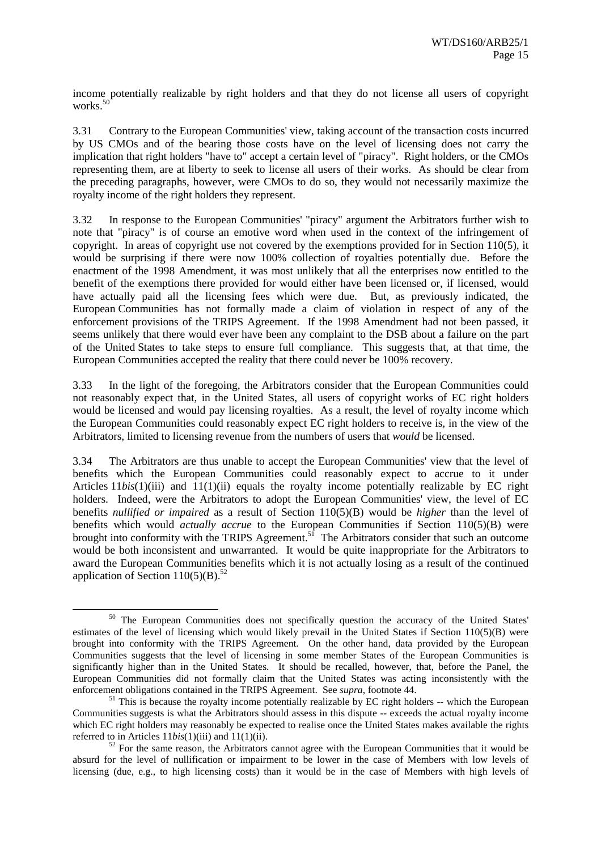income potentially realizable by right holders and that they do not license all users of copyright works. $50$ 

3.31 Contrary to the European Communities' view, taking account of the transaction costs incurred by US CMOs and of the bearing those costs have on the level of licensing does not carry the implication that right holders "have to" accept a certain level of "piracy". Right holders, or the CMOs representing them, are at liberty to seek to license all users of their works. As should be clear from the preceding paragraphs, however, were CMOs to do so, they would not necessarily maximize the royalty income of the right holders they represent.

3.32 In response to the European Communities' "piracy" argument the Arbitrators further wish to note that "piracy" is of course an emotive word when used in the context of the infringement of copyright. In areas of copyright use not covered by the exemptions provided for in Section 110(5), it would be surprising if there were now 100% collection of royalties potentially due. Before the enactment of the 1998 Amendment, it was most unlikely that all the enterprises now entitled to the benefit of the exemptions there provided for would either have been licensed or, if licensed, would have actually paid all the licensing fees which were due. But, as previously indicated, the European Communities has not formally made a claim of violation in respect of any of the enforcement provisions of the TRIPS Agreement. If the 1998 Amendment had not been passed, it seems unlikely that there would ever have been any complaint to the DSB about a failure on the part of the United States to take steps to ensure full compliance. This suggests that, at that time, the European Communities accepted the reality that there could never be 100% recovery.

3.33 In the light of the foregoing, the Arbitrators consider that the European Communities could not reasonably expect that, in the United States, all users of copyright works of EC right holders would be licensed and would pay licensing royalties. As a result, the level of royalty income which the European Communities could reasonably expect EC right holders to receive is, in the view of the Arbitrators, limited to licensing revenue from the numbers of users that *would* be licensed.

3.34 The Arbitrators are thus unable to accept the European Communities' view that the level of benefits which the European Communities could reasonably expect to accrue to it under Articles 11*bis*(1)(iii) and 11(1)(ii) equals the royalty income potentially realizable by EC right holders. Indeed, were the Arbitrators to adopt the European Communities' view, the level of EC benefits *nullified or impaired* as a result of Section 110(5)(B) would be *higher* than the level of benefits which would *actually accrue* to the European Communities if Section 110(5)(B) were brought into conformity with the TRIPS Agreement.<sup>51</sup> The Arbitrators consider that such an outcome would be both inconsistent and unwarranted. It would be quite inappropriate for the Arbitrators to award the European Communities benefits which it is not actually losing as a result of the continued application of Section  $110(5)(B)$ .<sup>52</sup>

<sup>&</sup>lt;sup>50</sup> The European Communities does not specifically question the accuracy of the United States' estimates of the level of licensing which would likely prevail in the United States if Section 110(5)(B) were brought into conformity with the TRIPS Agreement. On the other hand, data provided by the European Communities suggests that the level of licensing in some member States of the European Communities is significantly higher than in the United States. It should be recalled, however, that, before the Panel, the European Communities did not formally claim that the United States was acting inconsistently with the enforcement obligations contained in the TRIPS Agreement. See *supra*, footnote 44.

<sup>&</sup>lt;sup>51</sup> This is because the royalty income potentially realizable by EC right holders -- which the European Communities suggests is what the Arbitrators should assess in this dispute -- exceeds the actual royalty income which EC right holders may reasonably be expected to realise once the United States makes available the rights referred to in Articles  $11bis(1)(iii)$  and  $11(1)(ii)$ .<br><sup>52</sup> For the same reason, the Arbitrators cannot agree with the European Communities that it would be

absurd for the level of nullification or impairment to be lower in the case of Members with low levels of licensing (due, e.g., to high licensing costs) than it would be in the case of Members with high levels of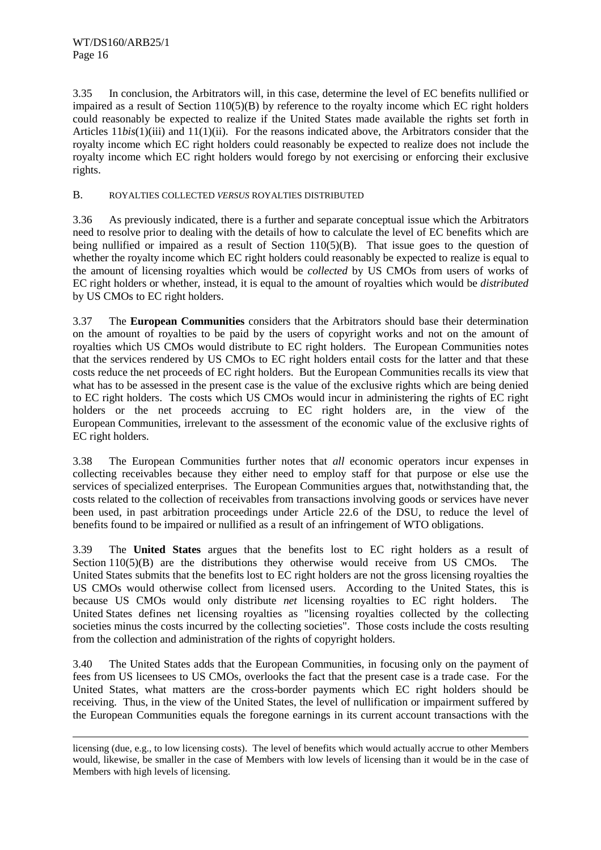l

3.35 In conclusion, the Arbitrators will, in this case, determine the level of EC benefits nullified or impaired as a result of Section  $110(5)(B)$  by reference to the royalty income which EC right holders could reasonably be expected to realize if the United States made available the rights set forth in Articles 11*bis*(1)(iii) and 11(1)(ii). For the reasons indicated above, the Arbitrators consider that the royalty income which EC right holders could reasonably be expected to realize does not include the royalty income which EC right holders would forego by not exercising or enforcing their exclusive rights.

#### B. ROYALTIES COLLECTED *VERSUS* ROYALTIES DISTRIBUTED

3.36 As previously indicated, there is a further and separate conceptual issue which the Arbitrators need to resolve prior to dealing with the details of how to calculate the level of EC benefits which are being nullified or impaired as a result of Section 110(5)(B). That issue goes to the question of whether the royalty income which EC right holders could reasonably be expected to realize is equal to the amount of licensing royalties which would be *collected* by US CMOs from users of works of EC right holders or whether, instead, it is equal to the amount of royalties which would be *distributed* by US CMOs to EC right holders.

3.37 The **European Communities** considers that the Arbitrators should base their determination on the amount of royalties to be paid by the users of copyright works and not on the amount of royalties which US CMOs would distribute to EC right holders. The European Communities notes that the services rendered by US CMOs to EC right holders entail costs for the latter and that these costs reduce the net proceeds of EC right holders. But the European Communities recalls its view that what has to be assessed in the present case is the value of the exclusive rights which are being denied to EC right holders. The costs which US CMOs would incur in administering the rights of EC right holders or the net proceeds accruing to EC right holders are, in the view of the European Communities, irrelevant to the assessment of the economic value of the exclusive rights of EC right holders.

3.38 The European Communities further notes that *all* economic operators incur expenses in collecting receivables because they either need to employ staff for that purpose or else use the services of specialized enterprises. The European Communities argues that, notwithstanding that, the costs related to the collection of receivables from transactions involving goods or services have never been used, in past arbitration proceedings under Article 22.6 of the DSU, to reduce the level of benefits found to be impaired or nullified as a result of an infringement of WTO obligations.

3.39 The **United States** argues that the benefits lost to EC right holders as a result of Section 110(5)(B) are the distributions they otherwise would receive from US CMOs. The United States submits that the benefits lost to EC right holders are not the gross licensing royalties the US CMOs would otherwise collect from licensed users. According to the United States, this is because US CMOs would only distribute *net* licensing royalties to EC right holders. The United States defines net licensing royalties as "licensing royalties collected by the collecting societies minus the costs incurred by the collecting societies". Those costs include the costs resulting from the collection and administration of the rights of copyright holders.

3.40 The United States adds that the European Communities, in focusing only on the payment of fees from US licensees to US CMOs, overlooks the fact that the present case is a trade case. For the United States, what matters are the cross-border payments which EC right holders should be receiving. Thus, in the view of the United States, the level of nullification or impairment suffered by the European Communities equals the foregone earnings in its current account transactions with the

licensing (due, e.g., to low licensing costs). The level of benefits which would actually accrue to other Members would, likewise, be smaller in the case of Members with low levels of licensing than it would be in the case of Members with high levels of licensing.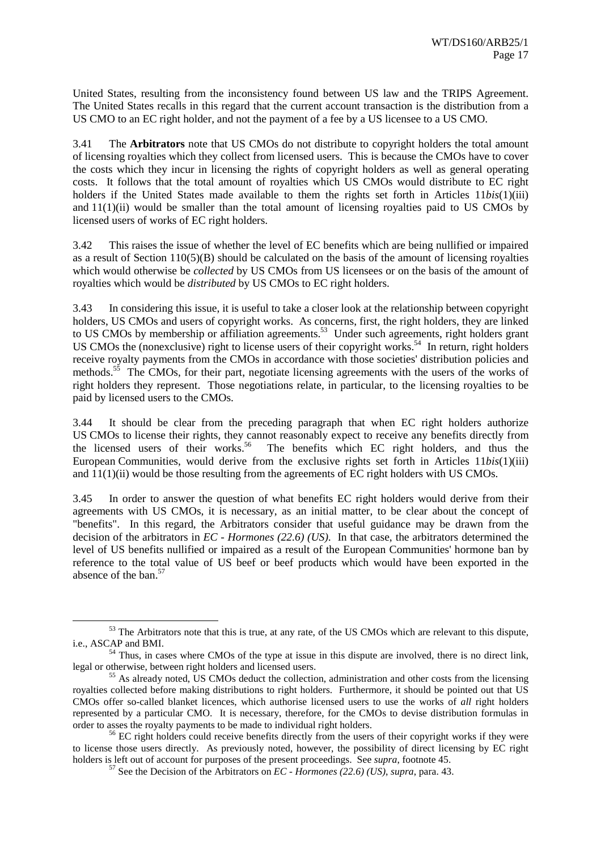United States, resulting from the inconsistency found between US law and the TRIPS Agreement. The United States recalls in this regard that the current account transaction is the distribution from a US CMO to an EC right holder, and not the payment of a fee by a US licensee to a US CMO.

3.41 The **Arbitrators** note that US CMOs do not distribute to copyright holders the total amount of licensing royalties which they collect from licensed users. This is because the CMOs have to cover the costs which they incur in licensing the rights of copyright holders as well as general operating costs. It follows that the total amount of royalties which US CMOs would distribute to EC right holders if the United States made available to them the rights set forth in Articles 11*bis*(1)(iii) and  $11(1)(ii)$  would be smaller than the total amount of licensing royalties paid to US CMOs by licensed users of works of EC right holders.

3.42 This raises the issue of whether the level of EC benefits which are being nullified or impaired as a result of Section  $110(5)(B)$  should be calculated on the basis of the amount of licensing royalties which would otherwise be *collected* by US CMOs from US licensees or on the basis of the amount of royalties which would be *distributed* by US CMOs to EC right holders.

3.43 In considering this issue, it is useful to take a closer look at the relationship between copyright holders, US CMOs and users of copyright works. As concerns, first, the right holders, they are linked to US CMOs by membership or affiliation agreements.<sup>53</sup> Under such agreements, right holders grant US CMOs the (nonexclusive) right to license users of their copyright works.<sup>54</sup> In return, right holders receive royalty payments from the CMOs in accordance with those societies' distribution policies and methods.<sup>55</sup> The CMOs, for their part, negotiate licensing agreements with the users of the works of right holders they represent. Those negotiations relate, in particular, to the licensing royalties to be paid by licensed users to the CMOs.

3.44 It should be clear from the preceding paragraph that when EC right holders authorize US CMOs to license their rights, they cannot reasonably expect to receive any benefits directly from the licensed users of their works.<sup>56</sup> The benefits which EC right holders, and thus the European Communities, would derive from the exclusive rights set forth in Articles 11*bis*(1)(iii) and  $11(1)(ii)$  would be those resulting from the agreements of EC right holders with US CMOs.

3.45 In order to answer the question of what benefits EC right holders would derive from their agreements with US CMOs, it is necessary, as an initial matter, to be clear about the concept of "benefits". In this regard, the Arbitrators consider that useful guidance may be drawn from the decision of the arbitrators in *EC - Hormones (22.6) (US)*. In that case, the arbitrators determined the level of US benefits nullified or impaired as a result of the European Communities' hormone ban by reference to the total value of US beef or beef products which would have been exported in the absence of the ban.<sup>57</sup>

<sup>&</sup>lt;sup>53</sup> The Arbitrators note that this is true, at any rate, of the US CMOs which are relevant to this dispute, i.e., ASCAP and BMI.

 $^{54}$  Thus, in cases where CMOs of the type at issue in this dispute are involved, there is no direct link, legal or otherwise, between right holders and licensed users.

 $155$  As already noted, US CMOs deduct the collection, administration and other costs from the licensing royalties collected before making distributions to right holders. Furthermore, it should be pointed out that US CMOs offer so-called blanket licences, which authorise licensed users to use the works of *all* right holders represented by a particular CMO. It is necessary, therefore, for the CMOs to devise distribution formulas in order to asses the royalty payments to be made to individual right holders.

 $56$  EC right holders could receive benefits directly from the users of their copyright works if they were to license those users directly. As previously noted, however, the possibility of direct licensing by EC right holders is left out of account for purposes of the present proceedings. See *supra*, footnote 45. <sup>57</sup> See the Decision of the Arbitrators on *EC - Hormones* (22.6) (*US*), *supra*, para. 43.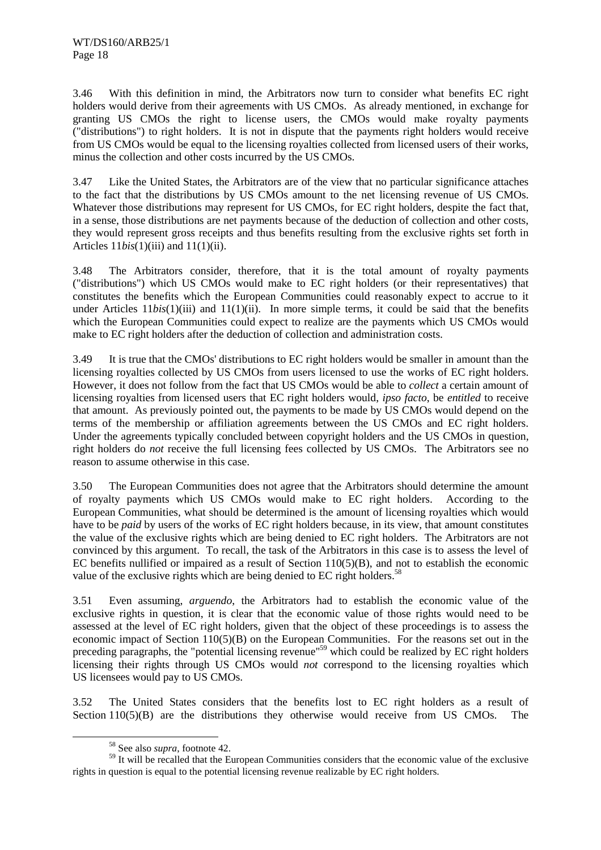3.46 With this definition in mind, the Arbitrators now turn to consider what benefits EC right holders would derive from their agreements with US CMOs. As already mentioned, in exchange for granting US CMOs the right to license users, the CMOs would make royalty payments ("distributions") to right holders. It is not in dispute that the payments right holders would receive from US CMOs would be equal to the licensing royalties collected from licensed users of their works, minus the collection and other costs incurred by the US CMOs.

3.47 Like the United States, the Arbitrators are of the view that no particular significance attaches to the fact that the distributions by US CMOs amount to the net licensing revenue of US CMOs. Whatever those distributions may represent for US CMOs, for EC right holders, despite the fact that, in a sense, those distributions are net payments because of the deduction of collection and other costs, they would represent gross receipts and thus benefits resulting from the exclusive rights set forth in Articles 11*bis*(1)(iii) and 11(1)(ii).

3.48 The Arbitrators consider, therefore, that it is the total amount of royalty payments ("distributions") which US CMOs would make to EC right holders (or their representatives) that constitutes the benefits which the European Communities could reasonably expect to accrue to it under Articles  $11bis(1)(iii)$  and  $11(1)(ii)$ . In more simple terms, it could be said that the benefits which the European Communities could expect to realize are the payments which US CMOs would make to EC right holders after the deduction of collection and administration costs.

3.49 It is true that the CMOs' distributions to EC right holders would be smaller in amount than the licensing royalties collected by US CMOs from users licensed to use the works of EC right holders. However, it does not follow from the fact that US CMOs would be able to *collect* a certain amount of licensing royalties from licensed users that EC right holders would, *ipso facto*, be *entitled* to receive that amount. As previously pointed out, the payments to be made by US CMOs would depend on the terms of the membership or affiliation agreements between the US CMOs and EC right holders. Under the agreements typically concluded between copyright holders and the US CMOs in question, right holders do *not* receive the full licensing fees collected by US CMOs. The Arbitrators see no reason to assume otherwise in this case.

3.50 The European Communities does not agree that the Arbitrators should determine the amount of royalty payments which US CMOs would make to EC right holders. According to the European Communities, what should be determined is the amount of licensing royalties which would have to be *paid* by users of the works of EC right holders because, in its view, that amount constitutes the value of the exclusive rights which are being denied to EC right holders. The Arbitrators are not convinced by this argument. To recall, the task of the Arbitrators in this case is to assess the level of EC benefits nullified or impaired as a result of Section  $110(5)(B)$ , and not to establish the economic value of the exclusive rights which are being denied to EC right holders.<sup>58</sup>

3.51 Even assuming, *arguendo*, the Arbitrators had to establish the economic value of the exclusive rights in question, it is clear that the economic value of those rights would need to be assessed at the level of EC right holders, given that the object of these proceedings is to assess the economic impact of Section 110(5)(B) on the European Communities. For the reasons set out in the preceding paragraphs, the "potential licensing revenue"<sup>59</sup> which could be realized by EC right holders licensing their rights through US CMOs would *not* correspond to the licensing royalties which US licensees would pay to US CMOs.

3.52 The United States considers that the benefits lost to EC right holders as a result of Section 110(5)(B) are the distributions they otherwise would receive from US CMOs. The

 <sup>58</sup> See also *supra*, footnote 42.

<sup>&</sup>lt;sup>59</sup> It will be recalled that the European Communities considers that the economic value of the exclusive rights in question is equal to the potential licensing revenue realizable by EC right holders.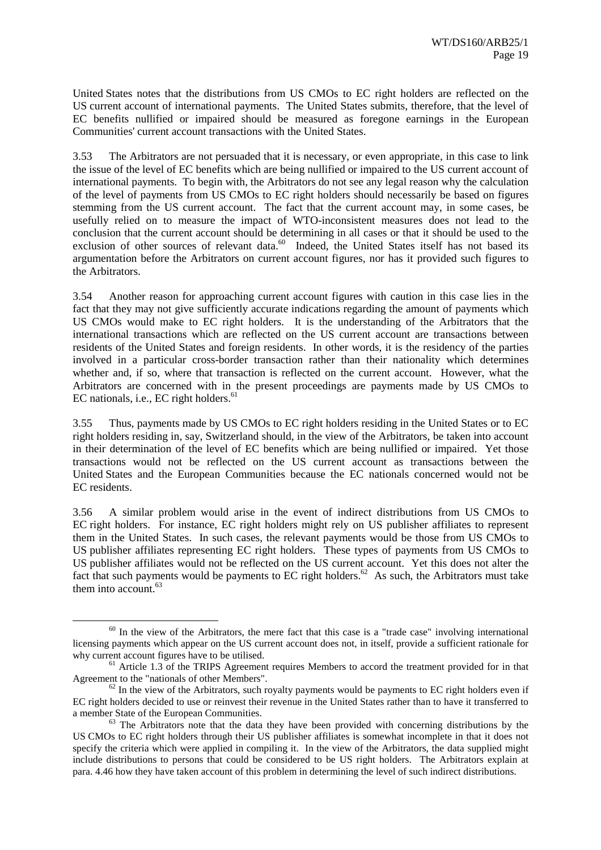United States notes that the distributions from US CMOs to EC right holders are reflected on the US current account of international payments. The United States submits, therefore, that the level of EC benefits nullified or impaired should be measured as foregone earnings in the European Communities' current account transactions with the United States.

3.53 The Arbitrators are not persuaded that it is necessary, or even appropriate, in this case to link the issue of the level of EC benefits which are being nullified or impaired to the US current account of international payments. To begin with, the Arbitrators do not see any legal reason why the calculation of the level of payments from US CMOs to EC right holders should necessarily be based on figures stemming from the US current account. The fact that the current account may, in some cases, be usefully relied on to measure the impact of WTO-inconsistent measures does not lead to the conclusion that the current account should be determining in all cases or that it should be used to the exclusion of other sources of relevant data.<sup>60</sup> Indeed, the United States itself has not based its argumentation before the Arbitrators on current account figures, nor has it provided such figures to the Arbitrators.

3.54 Another reason for approaching current account figures with caution in this case lies in the fact that they may not give sufficiently accurate indications regarding the amount of payments which US CMOs would make to EC right holders. It is the understanding of the Arbitrators that the international transactions which are reflected on the US current account are transactions between residents of the United States and foreign residents. In other words, it is the residency of the parties involved in a particular cross-border transaction rather than their nationality which determines whether and, if so, where that transaction is reflected on the current account. However, what the Arbitrators are concerned with in the present proceedings are payments made by US CMOs to  $EC$  nationals, i.e.,  $EC$  right holders.<sup>61</sup>

3.55 Thus, payments made by US CMOs to EC right holders residing in the United States or to EC right holders residing in, say, Switzerland should, in the view of the Arbitrators, be taken into account in their determination of the level of EC benefits which are being nullified or impaired. Yet those transactions would not be reflected on the US current account as transactions between the United States and the European Communities because the EC nationals concerned would not be EC residents.

3.56 A similar problem would arise in the event of indirect distributions from US CMOs to EC right holders. For instance, EC right holders might rely on US publisher affiliates to represent them in the United States. In such cases, the relevant payments would be those from US CMOs to US publisher affiliates representing EC right holders. These types of payments from US CMOs to US publisher affiliates would not be reflected on the US current account. Yet this does not alter the fact that such payments would be payments to EC right holders.<sup>62</sup> As such, the Arbitrators must take them into account.<sup>63</sup>

 $60$  In the view of the Arbitrators, the mere fact that this case is a "trade case" involving international licensing payments which appear on the US current account does not, in itself, provide a sufficient rationale for why current account figures have to be utilised.<br><sup>61</sup> Article 1.3 of the TRIPS Agreement requires Members to accord the treatment provided for in that

Agreement to the "nationals of other Members".<br><sup>62</sup> In the view of the Arbitrators, such royalty payments would be payments to EC right holders even if

EC right holders decided to use or reinvest their revenue in the United States rather than to have it transferred to a member State of the European Communities.<br><sup>63</sup> The Arbitrators note that the data they have been provided with concerning distributions by the

US CMOs to EC right holders through their US publisher affiliates is somewhat incomplete in that it does not specify the criteria which were applied in compiling it. In the view of the Arbitrators, the data supplied might include distributions to persons that could be considered to be US right holders. The Arbitrators explain at para. 4.46 how they have taken account of this problem in determining the level of such indirect distributions.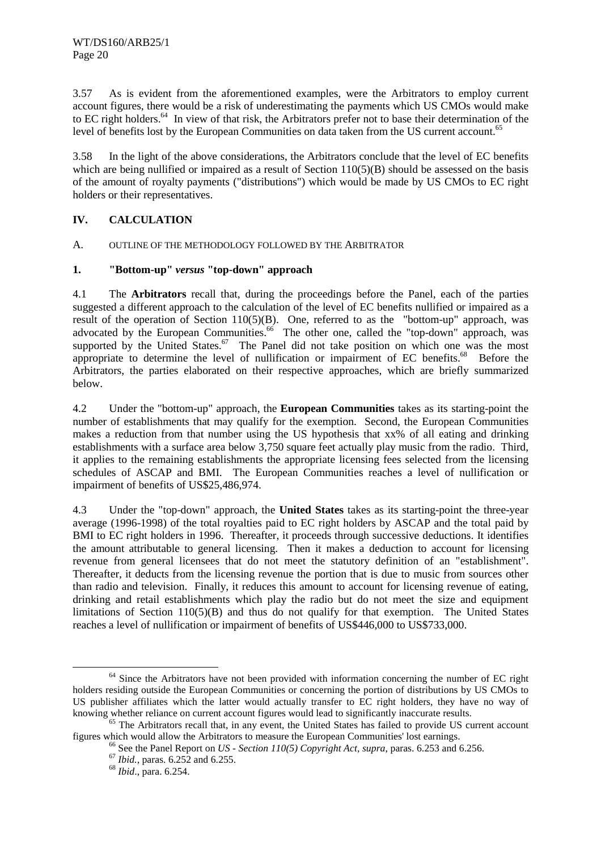3.57 As is evident from the aforementioned examples, were the Arbitrators to employ current account figures, there would be a risk of underestimating the payments which US CMOs would make to EC right holders.<sup>64</sup> In view of that risk, the Arbitrators prefer not to base their determination of the level of benefits lost by the European Communities on data taken from the US current account.<sup>65</sup>

3.58 In the light of the above considerations, the Arbitrators conclude that the level of EC benefits which are being nullified or impaired as a result of Section  $110(5)(B)$  should be assessed on the basis of the amount of royalty payments ("distributions") which would be made by US CMOs to EC right holders or their representatives.

#### **IV. CALCULATION**

A. OUTLINE OF THE METHODOLOGY FOLLOWED BY THE ARBITRATOR

#### **1. "Bottom-up"** *versus* **"top-down" approach**

4.1 The **Arbitrators** recall that, during the proceedings before the Panel, each of the parties suggested a different approach to the calculation of the level of EC benefits nullified or impaired as a result of the operation of Section 110(5)(B). One, referred to as the "bottom-up" approach, was advocated by the European Communities.<sup>66</sup> The other one, called the "top-down" approach, was supported by the United States.<sup>67</sup> The Panel did not take position on which one was the most appropriate to determine the level of nullification or impairment of EC benefits.<sup>68</sup> Before the Arbitrators, the parties elaborated on their respective approaches, which are briefly summarized below.

4.2 Under the "bottom-up" approach, the **European Communities** takes as its starting-point the number of establishments that may qualify for the exemption. Second, the European Communities makes a reduction from that number using the US hypothesis that xx% of all eating and drinking establishments with a surface area below 3,750 square feet actually play music from the radio. Third, it applies to the remaining establishments the appropriate licensing fees selected from the licensing schedules of ASCAP and BMI. The European Communities reaches a level of nullification or impairment of benefits of US\$25,486,974.

4.3 Under the "top-down" approach, the **United States** takes as its starting-point the three-year average (1996-1998) of the total royalties paid to EC right holders by ASCAP and the total paid by BMI to EC right holders in 1996. Thereafter, it proceeds through successive deductions. It identifies the amount attributable to general licensing. Then it makes a deduction to account for licensing revenue from general licensees that do not meet the statutory definition of an "establishment". Thereafter, it deducts from the licensing revenue the portion that is due to music from sources other than radio and television. Finally, it reduces this amount to account for licensing revenue of eating, drinking and retail establishments which play the radio but do not meet the size and equipment limitations of Section 110(5)(B) and thus do not qualify for that exemption. The United States reaches a level of nullification or impairment of benefits of US\$446,000 to US\$733,000.

<sup>&</sup>lt;sup>64</sup> Since the Arbitrators have not been provided with information concerning the number of EC right holders residing outside the European Communities or concerning the portion of distributions by US CMOs to US publisher affiliates which the latter would actually transfer to EC right holders, they have no way of knowing whether reliance on current account figures would lead to significantly inaccurate results.

<sup>&</sup>lt;sup>65</sup> The Arbitrators recall that, in any event, the United States has failed to provide US current account figures which would allow the Arbitrators to measure the European Communities' lost earnings.<br>
<sup>66</sup> See the Panel Report on *US* - *Section 110(5) Copyright Act, supra,* paras. 6.253 and 6.256.<br>
<sup>67</sup> *Ibid.,* paras. 6.252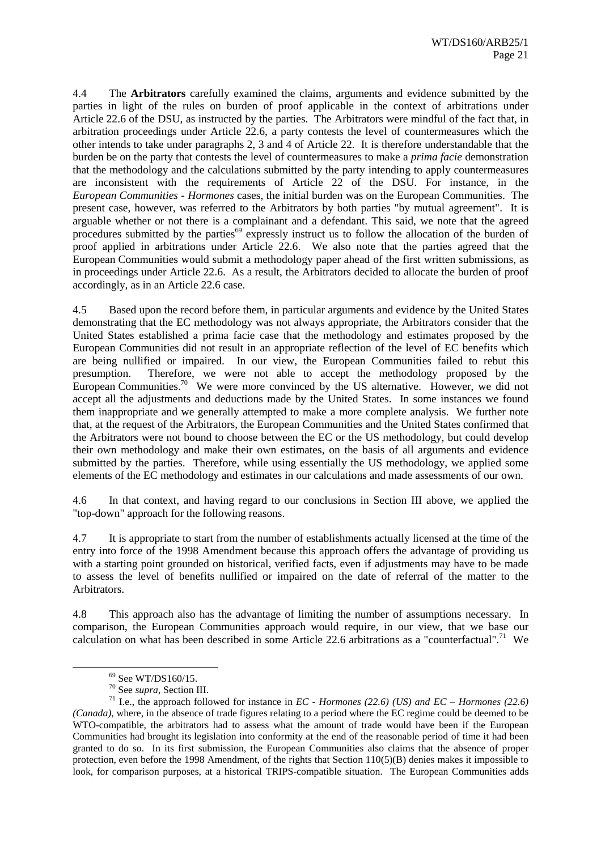4.4 The **Arbitrators** carefully examined the claims, arguments and evidence submitted by the parties in light of the rules on burden of proof applicable in the context of arbitrations under Article 22.6 of the DSU, as instructed by the parties. The Arbitrators were mindful of the fact that, in arbitration proceedings under Article 22.6, a party contests the level of countermeasures which the other intends to take under paragraphs 2, 3 and 4 of Article 22. It is therefore understandable that the burden be on the party that contests the level of countermeasures to make a *prima facie* demonstration that the methodology and the calculations submitted by the party intending to apply countermeasures are inconsistent with the requirements of Article 22 of the DSU. For instance, in the *European Communities - Hormones* cases, the initial burden was on the European Communities. The present case, however, was referred to the Arbitrators by both parties "by mutual agreement". It is arguable whether or not there is a complainant and a defendant. This said, we note that the agreed procedures submitted by the parties<sup>69</sup> expressly instruct us to follow the allocation of the burden of proof applied in arbitrations under Article 22.6. We also note that the parties agreed that the European Communities would submit a methodology paper ahead of the first written submissions, as in proceedings under Article 22.6. As a result, the Arbitrators decided to allocate the burden of proof accordingly, as in an Article 22.6 case.

4.5 Based upon the record before them, in particular arguments and evidence by the United States demonstrating that the EC methodology was not always appropriate, the Arbitrators consider that the United States established a prima facie case that the methodology and estimates proposed by the European Communities did not result in an appropriate reflection of the level of EC benefits which are being nullified or impaired. In our view, the European Communities failed to rebut this presumption. Therefore, we were not able to accept the methodology proposed by the European Communities.<sup>70</sup> We were more convinced by the US alternative. However, we did not accept all the adjustments and deductions made by the United States. In some instances we found them inappropriate and we generally attempted to make a more complete analysis. We further note that, at the request of the Arbitrators, the European Communities and the United States confirmed that the Arbitrators were not bound to choose between the EC or the US methodology, but could develop their own methodology and make their own estimates, on the basis of all arguments and evidence submitted by the parties. Therefore, while using essentially the US methodology, we applied some elements of the EC methodology and estimates in our calculations and made assessments of our own.

4.6 In that context, and having regard to our conclusions in Section III above, we applied the "top-down" approach for the following reasons.

4.7 It is appropriate to start from the number of establishments actually licensed at the time of the entry into force of the 1998 Amendment because this approach offers the advantage of providing us with a starting point grounded on historical, verified facts, even if adjustments may have to be made to assess the level of benefits nullified or impaired on the date of referral of the matter to the Arbitrators.

4.8 This approach also has the advantage of limiting the number of assumptions necessary. In comparison, the European Communities approach would require, in our view, that we base our calculation on what has been described in some Article 22.6 arbitrations as a "counterfactual".<sup>71</sup> We

 $^{69}$  See WT/DS160/15.<br><sup>70</sup> See *supra*, Section III.

<sup>&</sup>lt;sup>71</sup> I.e., the approach followed for instance in *EC - Hormones (22.6) (US) and EC – Hormones (22.6) (Canada)*, where, in the absence of trade figures relating to a period where the EC regime could be deemed to be WTO-compatible, the arbitrators had to assess what the amount of trade would have been if the European Communities had brought its legislation into conformity at the end of the reasonable period of time it had been granted to do so. In its first submission, the European Communities also claims that the absence of proper protection, even before the 1998 Amendment, of the rights that Section 110(5)(B) denies makes it impossible to look, for comparison purposes, at a historical TRIPS-compatible situation. The European Communities adds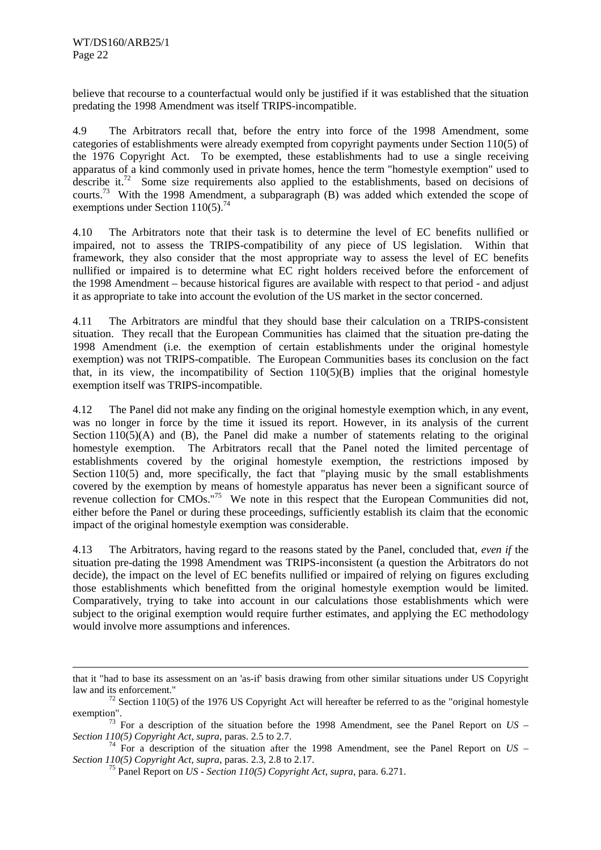l

believe that recourse to a counterfactual would only be justified if it was established that the situation predating the 1998 Amendment was itself TRIPS-incompatible.

4.9 The Arbitrators recall that, before the entry into force of the 1998 Amendment, some categories of establishments were already exempted from copyright payments under Section 110(5) of the 1976 Copyright Act. To be exempted, these establishments had to use a single receiving apparatus of a kind commonly used in private homes, hence the term "homestyle exemption" used to describe it.<sup>72</sup> Some size requirements also applied to the establishments, based on decisions of courts.73 With the 1998 Amendment, a subparagraph (B) was added which extended the scope of exemptions under Section  $110(5)$ .<sup>74</sup>

4.10 The Arbitrators note that their task is to determine the level of EC benefits nullified or impaired, not to assess the TRIPS-compatibility of any piece of US legislation. Within that framework, they also consider that the most appropriate way to assess the level of EC benefits nullified or impaired is to determine what EC right holders received before the enforcement of the 1998 Amendment – because historical figures are available with respect to that period - and adjust it as appropriate to take into account the evolution of the US market in the sector concerned.

4.11 The Arbitrators are mindful that they should base their calculation on a TRIPS-consistent situation. They recall that the European Communities has claimed that the situation pre-dating the 1998 Amendment (i.e. the exemption of certain establishments under the original homestyle exemption) was not TRIPS-compatible. The European Communities bases its conclusion on the fact that, in its view, the incompatibility of Section  $110(5)(B)$  implies that the original homestyle exemption itself was TRIPS-incompatible.

4.12 The Panel did not make any finding on the original homestyle exemption which, in any event, was no longer in force by the time it issued its report. However, in its analysis of the current Section 110(5)(A) and (B), the Panel did make a number of statements relating to the original homestyle exemption. The Arbitrators recall that the Panel noted the limited percentage of establishments covered by the original homestyle exemption, the restrictions imposed by Section 110(5) and, more specifically, the fact that "playing music by the small establishments covered by the exemption by means of homestyle apparatus has never been a significant source of revenue collection for CMOs."<sup>75</sup> We note in this respect that the European Communities did not, either before the Panel or during these proceedings, sufficiently establish its claim that the economic impact of the original homestyle exemption was considerable.

4.13 The Arbitrators, having regard to the reasons stated by the Panel, concluded that, *even if* the situation pre-dating the 1998 Amendment was TRIPS-inconsistent (a question the Arbitrators do not decide), the impact on the level of EC benefits nullified or impaired of relying on figures excluding those establishments which benefitted from the original homestyle exemption would be limited. Comparatively, trying to take into account in our calculations those establishments which were subject to the original exemption would require further estimates, and applying the EC methodology would involve more assumptions and inferences.

that it "had to base its assessment on an 'as-if' basis drawing from other similar situations under US Copyright

<sup>&</sup>lt;sup>72</sup> Section 110(5) of the 1976 US Copyright Act will hereafter be referred to as the "original homestyle" exemption".<br><sup>73</sup> For a description of the situation before the 1998 Amendment, see the Panel Report on *US –* 

*Section 110(5) Copyright Act, supra*, paras. 2.5 to 2.7. *<sup>74</sup>* For a description of the situation after the 1998 Amendment, see the Panel Report on *US* –

*Section 110(5) Copyright Act, supra*, paras. 2.3, 2.8 to 2.17. 75 Panel Report on *US - Section 110(5) Copyright Act, supra*, para. 6.271.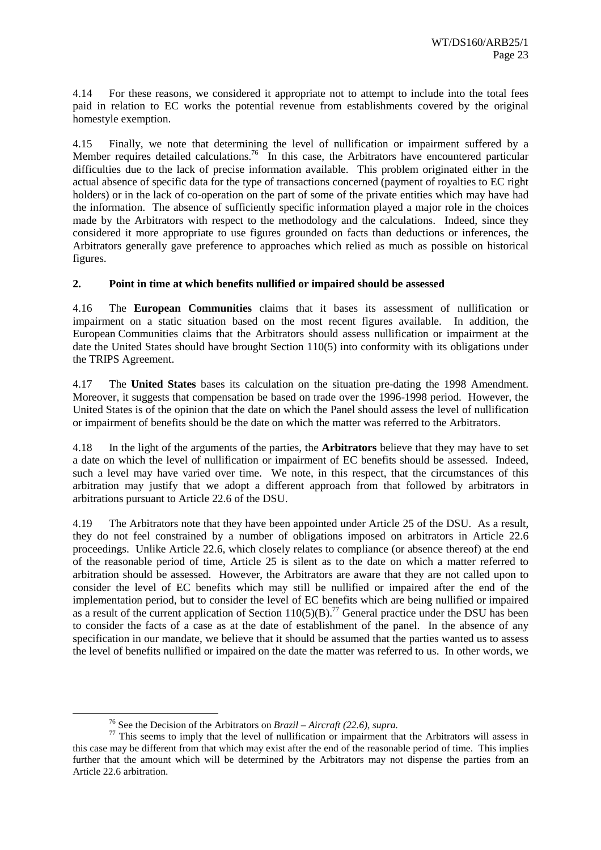4.14 For these reasons, we considered it appropriate not to attempt to include into the total fees paid in relation to EC works the potential revenue from establishments covered by the original homestyle exemption.

4.15 Finally, we note that determining the level of nullification or impairment suffered by a Member requires detailed calculations.<sup>76</sup> In this case, the Arbitrators have encountered particular difficulties due to the lack of precise information available. This problem originated either in the actual absence of specific data for the type of transactions concerned (payment of royalties to EC right holders) or in the lack of co-operation on the part of some of the private entities which may have had the information. The absence of sufficiently specific information played a major role in the choices made by the Arbitrators with respect to the methodology and the calculations. Indeed, since they considered it more appropriate to use figures grounded on facts than deductions or inferences, the Arbitrators generally gave preference to approaches which relied as much as possible on historical figures.

#### **2. Point in time at which benefits nullified or impaired should be assessed**

4.16 The **European Communities** claims that it bases its assessment of nullification or impairment on a static situation based on the most recent figures available. In addition, the European Communities claims that the Arbitrators should assess nullification or impairment at the date the United States should have brought Section 110(5) into conformity with its obligations under the TRIPS Agreement.

4.17 The **United States** bases its calculation on the situation pre-dating the 1998 Amendment. Moreover, it suggests that compensation be based on trade over the 1996-1998 period. However, the United States is of the opinion that the date on which the Panel should assess the level of nullification or impairment of benefits should be the date on which the matter was referred to the Arbitrators.

4.18 In the light of the arguments of the parties, the **Arbitrators** believe that they may have to set a date on which the level of nullification or impairment of EC benefits should be assessed. Indeed, such a level may have varied over time. We note, in this respect, that the circumstances of this arbitration may justify that we adopt a different approach from that followed by arbitrators in arbitrations pursuant to Article 22.6 of the DSU.

4.19 The Arbitrators note that they have been appointed under Article 25 of the DSU. As a result, they do not feel constrained by a number of obligations imposed on arbitrators in Article 22.6 proceedings. Unlike Article 22.6, which closely relates to compliance (or absence thereof) at the end of the reasonable period of time, Article 25 is silent as to the date on which a matter referred to arbitration should be assessed. However, the Arbitrators are aware that they are not called upon to consider the level of EC benefits which may still be nullified or impaired after the end of the implementation period, but to consider the level of EC benefits which are being nullified or impaired as a result of the current application of Section  $110(5)(B)$ .<sup>77</sup> General practice under the DSU has been to consider the facts of a case as at the date of establishment of the panel. In the absence of any specification in our mandate, we believe that it should be assumed that the parties wanted us to assess the level of benefits nullified or impaired on the date the matter was referred to us. In other words, we

<sup>&</sup>lt;sup>76</sup> See the Decision of the Arbitrators on *Brazil – Aircraft (22.6)*, *supra*.<br><sup>77</sup> This seems to imply that the level of nullification or impairment that the Arbitrators will assess in this case may be different from that which may exist after the end of the reasonable period of time. This implies further that the amount which will be determined by the Arbitrators may not dispense the parties from an Article 22.6 arbitration.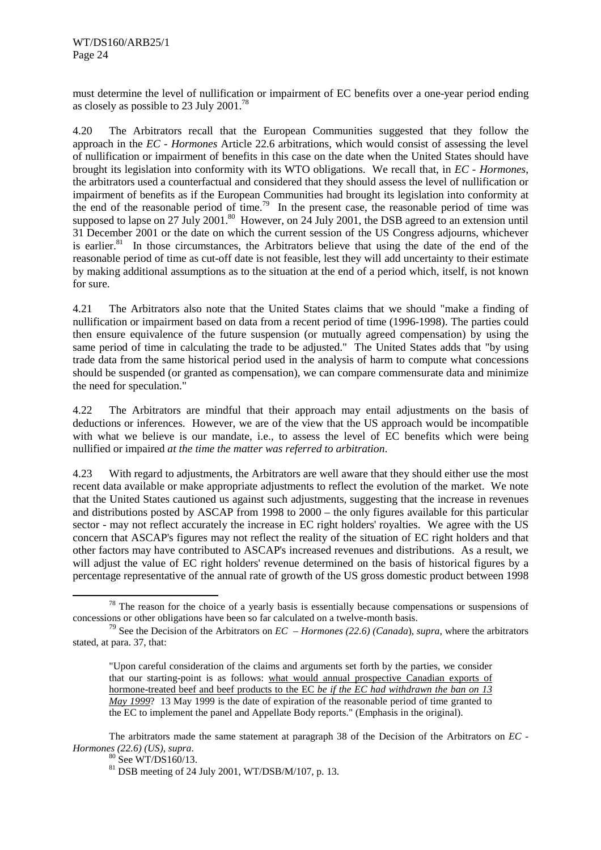must determine the level of nullification or impairment of EC benefits over a one-year period ending as closely as possible to 23 July 2001.78

4.20 The Arbitrators recall that the European Communities suggested that they follow the approach in the *EC - Hormones* Article 22.6 arbitrations, which would consist of assessing the level of nullification or impairment of benefits in this case on the date when the United States should have brought its legislation into conformity with its WTO obligations. We recall that, in *EC - Hormones*, the arbitrators used a counterfactual and considered that they should assess the level of nullification or impairment of benefits as if the European Communities had brought its legislation into conformity at the end of the reasonable period of time.79In the present case, the reasonable period of time was supposed to lapse on 27 July 2001.<sup>80</sup> However, on 24 July 2001, the DSB agreed to an extension until 31 December 2001 or the date on which the current session of the US Congress adjourns, whichever is earlier. $81$  In those circumstances, the Arbitrators believe that using the date of the end of the reasonable period of time as cut-off date is not feasible, lest they will add uncertainty to their estimate by making additional assumptions as to the situation at the end of a period which, itself, is not known for sure.

4.21 The Arbitrators also note that the United States claims that we should "make a finding of nullification or impairment based on data from a recent period of time (1996-1998). The parties could then ensure equivalence of the future suspension (or mutually agreed compensation) by using the same period of time in calculating the trade to be adjusted." The United States adds that "by using trade data from the same historical period used in the analysis of harm to compute what concessions should be suspended (or granted as compensation), we can compare commensurate data and minimize the need for speculation."

4.22 The Arbitrators are mindful that their approach may entail adjustments on the basis of deductions or inferences. However, we are of the view that the US approach would be incompatible with what we believe is our mandate, i.e., to assess the level of EC benefits which were being nullified or impaired *at the time the matter was referred to arbitration*.

4.23 With regard to adjustments, the Arbitrators are well aware that they should either use the most recent data available or make appropriate adjustments to reflect the evolution of the market. We note that the United States cautioned us against such adjustments, suggesting that the increase in revenues and distributions posted by ASCAP from 1998 to 2000 – the only figures available for this particular sector - may not reflect accurately the increase in EC right holders' royalties. We agree with the US concern that ASCAP's figures may not reflect the reality of the situation of EC right holders and that other factors may have contributed to ASCAP's increased revenues and distributions. As a result, we will adjust the value of EC right holders' revenue determined on the basis of historical figures by a percentage representative of the annual rate of growth of the US gross domestic product between 1998

 $78$  The reason for the choice of a yearly basis is essentially because compensations or suspensions of concessions or other obligations have been so far calculated on a twelve-month basis.

<sup>79</sup> See the Decision of the Arbitrators on *EC – Hormones (22.6) (Canada*), *supra*, where the arbitrators stated, at para. 37, that:

<sup>&</sup>quot;Upon careful consideration of the claims and arguments set forth by the parties, we consider that our starting-point is as follows: what would annual prospective Canadian exports of hormone-treated beef and beef products to the EC *be if the EC had withdrawn the ban on 13 May 1999*? 13 May 1999 is the date of expiration of the reasonable period of time granted to the EC to implement the panel and Appellate Body reports." (Emphasis in the original).

The arbitrators made the same statement at paragraph 38 of the Decision of the Arbitrators on *EC - Hormones (22.6) (US), supra.* 80 See WT/DS160/13.

<sup>81</sup> DSB meeting of 24 July 2001, WT/DSB/M/107, p. 13.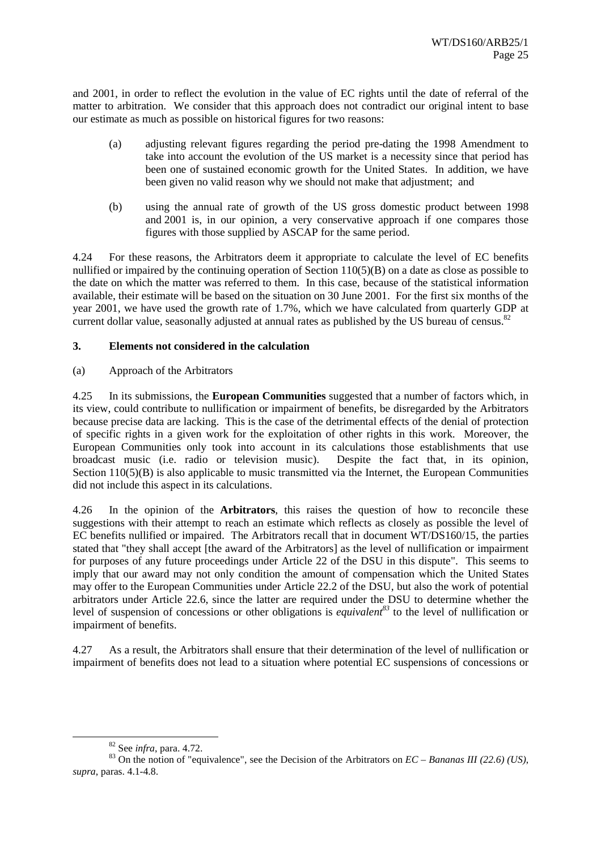and 2001, in order to reflect the evolution in the value of EC rights until the date of referral of the matter to arbitration. We consider that this approach does not contradict our original intent to base our estimate as much as possible on historical figures for two reasons:

- (a) adjusting relevant figures regarding the period pre-dating the 1998 Amendment to take into account the evolution of the US market is a necessity since that period has been one of sustained economic growth for the United States. In addition, we have been given no valid reason why we should not make that adjustment; and
- (b) using the annual rate of growth of the US gross domestic product between 1998 and 2001 is, in our opinion, a very conservative approach if one compares those figures with those supplied by ASCAP for the same period.

4.24 For these reasons, the Arbitrators deem it appropriate to calculate the level of EC benefits nullified or impaired by the continuing operation of Section 110(5)(B) on a date as close as possible to the date on which the matter was referred to them. In this case, because of the statistical information available, their estimate will be based on the situation on 30 June 2001. For the first six months of the year 2001, we have used the growth rate of 1.7%, which we have calculated from quarterly GDP at current dollar value, seasonally adjusted at annual rates as published by the US bureau of census.<sup>82</sup>

#### **3. Elements not considered in the calculation**

(a) Approach of the Arbitrators

4.25 In its submissions, the **European Communities** suggested that a number of factors which, in its view, could contribute to nullification or impairment of benefits, be disregarded by the Arbitrators because precise data are lacking. This is the case of the detrimental effects of the denial of protection of specific rights in a given work for the exploitation of other rights in this work. Moreover, the European Communities only took into account in its calculations those establishments that use broadcast music (i.e. radio or television music). Despite the fact that, in its opinion, Section 110(5)(B) is also applicable to music transmitted via the Internet, the European Communities did not include this aspect in its calculations.

4.26 In the opinion of the **Arbitrators**, this raises the question of how to reconcile these suggestions with their attempt to reach an estimate which reflects as closely as possible the level of EC benefits nullified or impaired. The Arbitrators recall that in document WT/DS160/15, the parties stated that "they shall accept [the award of the Arbitrators] as the level of nullification or impairment for purposes of any future proceedings under Article 22 of the DSU in this dispute". This seems to imply that our award may not only condition the amount of compensation which the United States may offer to the European Communities under Article 22.2 of the DSU, but also the work of potential arbitrators under Article 22.6, since the latter are required under the DSU to determine whether the level of suspension of concessions or other obligations is *equivalent*<sup>83</sup> to the level of nullification or impairment of benefits.

4.27 As a result, the Arbitrators shall ensure that their determination of the level of nullification or impairment of benefits does not lead to a situation where potential EC suspensions of concessions or

<sup>&</sup>lt;sup>82</sup> See *infra*, para. 4.72.<br><sup>83</sup> On the notion of "equivalence", see the Decision of the Arbitrators on *EC – Bananas III* (22.6) *(US)*, *supra*, paras. 4.1-4.8.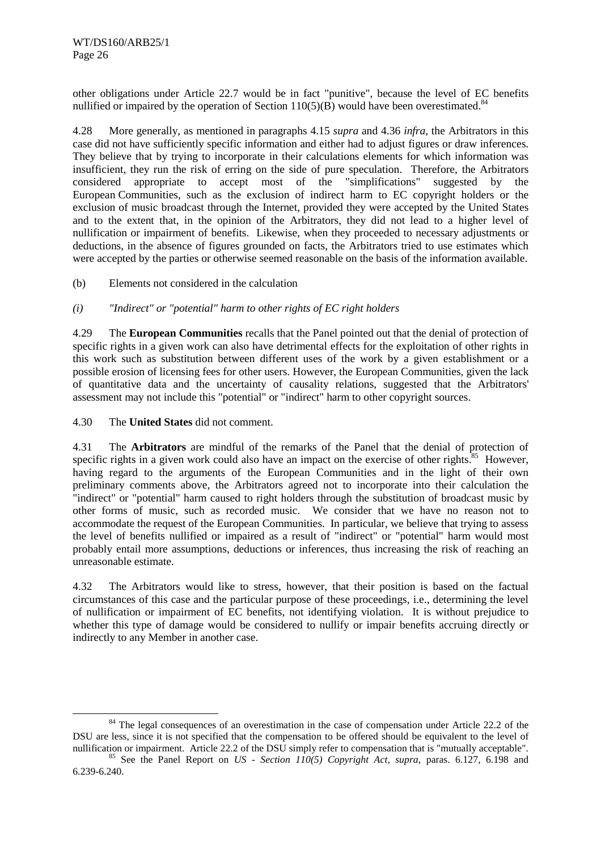other obligations under Article 22.7 would be in fact "punitive", because the level of EC benefits nullified or impaired by the operation of Section  $110(5)(B)$  would have been overestimated.<sup>84</sup>

4.28 More generally, as mentioned in paragraphs 4.15 *supra* and 4.36 *infra*, the Arbitrators in this case did not have sufficiently specific information and either had to adjust figures or draw inferences. They believe that by trying to incorporate in their calculations elements for which information was insufficient, they run the risk of erring on the side of pure speculation. Therefore, the Arbitrators considered appropriate to accept most of the "simplifications" suggested by the European Communities, such as the exclusion of indirect harm to EC copyright holders or the exclusion of music broadcast through the Internet, provided they were accepted by the United States and to the extent that, in the opinion of the Arbitrators, they did not lead to a higher level of nullification or impairment of benefits. Likewise, when they proceeded to necessary adjustments or deductions, in the absence of figures grounded on facts, the Arbitrators tried to use estimates which were accepted by the parties or otherwise seemed reasonable on the basis of the information available.

(b) Elements not considered in the calculation

#### *(i) "Indirect" or "potential" harm to other rights of EC right holders*

4.29 The **European Communities** recalls that the Panel pointed out that the denial of protection of specific rights in a given work can also have detrimental effects for the exploitation of other rights in this work such as substitution between different uses of the work by a given establishment or a possible erosion of licensing fees for other users. However, the European Communities, given the lack of quantitative data and the uncertainty of causality relations, suggested that the Arbitrators' assessment may not include this "potential" or "indirect" harm to other copyright sources.

4.30 The **United States** did not comment.

4.31 The **Arbitrators** are mindful of the remarks of the Panel that the denial of protection of specific rights in a given work could also have an impact on the exercise of other rights.<sup>85</sup> However, having regard to the arguments of the European Communities and in the light of their own preliminary comments above, the Arbitrators agreed not to incorporate into their calculation the "indirect" or "potential" harm caused to right holders through the substitution of broadcast music by other forms of music, such as recorded music. We consider that we have no reason not to accommodate the request of the European Communities. In particular, we believe that trying to assess the level of benefits nullified or impaired as a result of "indirect" or "potential" harm would most probably entail more assumptions, deductions or inferences, thus increasing the risk of reaching an unreasonable estimate.

4.32 The Arbitrators would like to stress, however, that their position is based on the factual circumstances of this case and the particular purpose of these proceedings, i.e., determining the level of nullification or impairment of EC benefits, not identifying violation. It is without prejudice to whether this type of damage would be considered to nullify or impair benefits accruing directly or indirectly to any Member in another case.

<sup>&</sup>lt;sup>84</sup> The legal consequences of an overestimation in the case of compensation under Article 22.2 of the DSU are less, since it is not specified that the compensation to be offered should be equivalent to the level of nullification or impairment. Article 22.2 of the DSU simply refer to compensation that is "mutually acceptabl

<sup>&</sup>lt;sup>85</sup> See the Panel Report on *US - Section 110(5) Copyright Act, supra*, paras. 6.127, 6.198 and 6.239-6.240.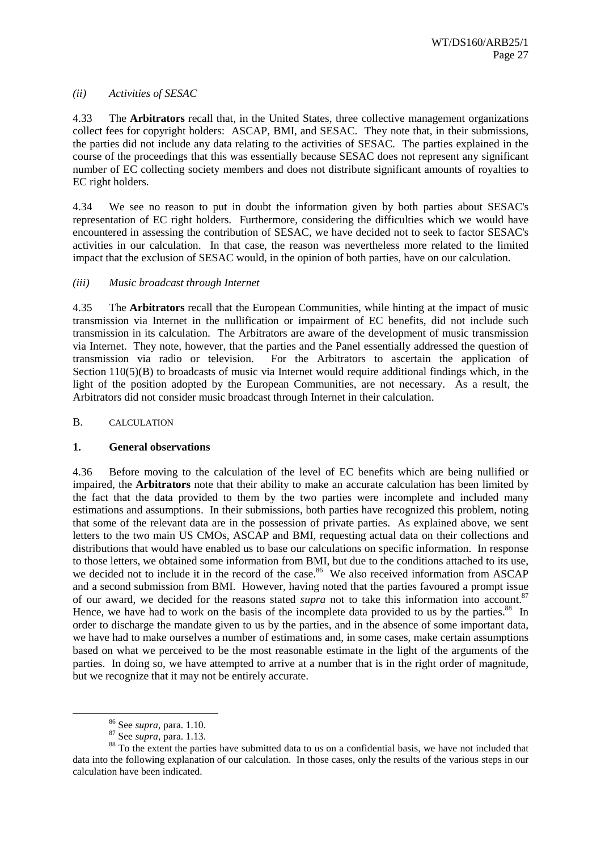#### *(ii) Activities of SESAC*

4.33 The **Arbitrators** recall that, in the United States, three collective management organizations collect fees for copyright holders: ASCAP, BMI, and SESAC. They note that, in their submissions, the parties did not include any data relating to the activities of SESAC. The parties explained in the course of the proceedings that this was essentially because SESAC does not represent any significant number of EC collecting society members and does not distribute significant amounts of royalties to EC right holders.

4.34 We see no reason to put in doubt the information given by both parties about SESAC's representation of EC right holders. Furthermore, considering the difficulties which we would have encountered in assessing the contribution of SESAC, we have decided not to seek to factor SESAC's activities in our calculation. In that case, the reason was nevertheless more related to the limited impact that the exclusion of SESAC would, in the opinion of both parties, have on our calculation.

#### *(iii) Music broadcast through Internet*

4.35 The **Arbitrators** recall that the European Communities, while hinting at the impact of music transmission via Internet in the nullification or impairment of EC benefits, did not include such transmission in its calculation. The Arbitrators are aware of the development of music transmission via Internet. They note, however, that the parties and the Panel essentially addressed the question of transmission via radio or television. For the Arbitrators to ascertain the application of Section 110(5)(B) to broadcasts of music via Internet would require additional findings which, in the light of the position adopted by the European Communities, are not necessary. As a result, the Arbitrators did not consider music broadcast through Internet in their calculation.

#### B. CALCULATION

#### **1. General observations**

4.36 Before moving to the calculation of the level of EC benefits which are being nullified or impaired, the **Arbitrators** note that their ability to make an accurate calculation has been limited by the fact that the data provided to them by the two parties were incomplete and included many estimations and assumptions. In their submissions, both parties have recognized this problem, noting that some of the relevant data are in the possession of private parties. As explained above, we sent letters to the two main US CMOs, ASCAP and BMI, requesting actual data on their collections and distributions that would have enabled us to base our calculations on specific information. In response to those letters, we obtained some information from BMI, but due to the conditions attached to its use, we decided not to include it in the record of the case.<sup>86</sup> We also received information from ASCAP and a second submission from BMI. However, having noted that the parties favoured a prompt issue of our award, we decided for the reasons stated *supra* not to take this information into account.<sup>87</sup> Hence, we have had to work on the basis of the incomplete data provided to us by the parties.<sup>88</sup> In order to discharge the mandate given to us by the parties, and in the absence of some important data, we have had to make ourselves a number of estimations and, in some cases, make certain assumptions based on what we perceived to be the most reasonable estimate in the light of the arguments of the parties. In doing so, we have attempted to arrive at a number that is in the right order of magnitude, but we recognize that it may not be entirely accurate.

<sup>&</sup>lt;sup>86</sup> See *supra*, para. 1.10.<br><sup>87</sup> See *supra*, para. 1.13.<br><sup>88</sup> To the extent the parties have submitted data to us on a confidential basis, we have not included that data into the following explanation of our calculation. In those cases, only the results of the various steps in our calculation have been indicated.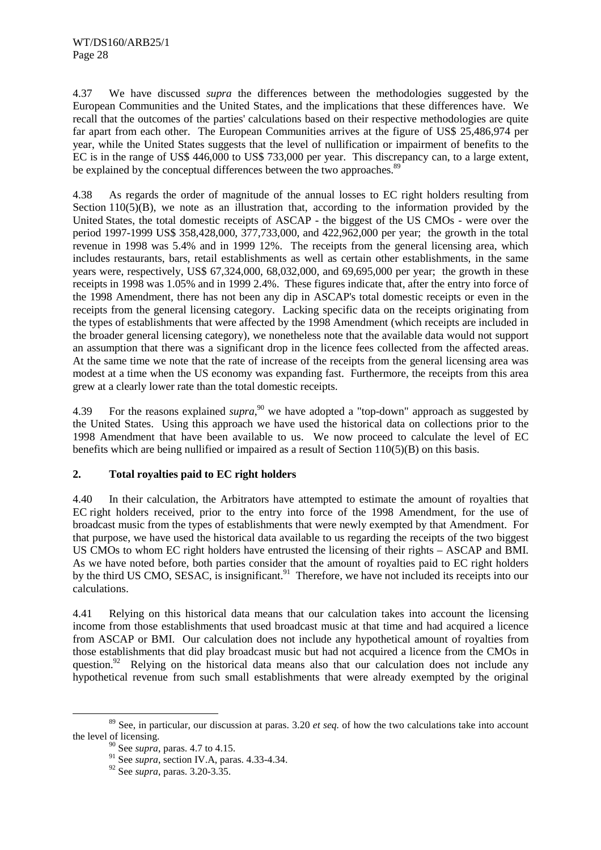4.37 We have discussed *supra* the differences between the methodologies suggested by the European Communities and the United States, and the implications that these differences have. We recall that the outcomes of the parties' calculations based on their respective methodologies are quite far apart from each other. The European Communities arrives at the figure of US\$ 25,486,974 per year, while the United States suggests that the level of nullification or impairment of benefits to the EC is in the range of US\$ 446,000 to US\$ 733,000 per year. This discrepancy can, to a large extent, be explained by the conceptual differences between the two approaches.<sup>89</sup>

4.38 As regards the order of magnitude of the annual losses to EC right holders resulting from Section 110(5)(B), we note as an illustration that, according to the information provided by the United States, the total domestic receipts of ASCAP - the biggest of the US CMOs - were over the period 1997-1999 US\$ 358,428,000, 377,733,000, and 422,962,000 per year; the growth in the total revenue in 1998 was 5.4% and in 1999 12%. The receipts from the general licensing area, which includes restaurants, bars, retail establishments as well as certain other establishments, in the same years were, respectively, US\$ 67,324,000, 68,032,000, and 69,695,000 per year; the growth in these receipts in 1998 was 1.05% and in 1999 2.4%. These figures indicate that, after the entry into force of the 1998 Amendment, there has not been any dip in ASCAP's total domestic receipts or even in the receipts from the general licensing category. Lacking specific data on the receipts originating from the types of establishments that were affected by the 1998 Amendment (which receipts are included in the broader general licensing category), we nonetheless note that the available data would not support an assumption that there was a significant drop in the licence fees collected from the affected areas. At the same time we note that the rate of increase of the receipts from the general licensing area was modest at a time when the US economy was expanding fast. Furthermore, the receipts from this area grew at a clearly lower rate than the total domestic receipts.

4.39 For the reasons explained *supra*,<sup>90</sup> we have adopted a "top-down" approach as suggested by the United States. Using this approach we have used the historical data on collections prior to the 1998 Amendment that have been available to us. We now proceed to calculate the level of EC benefits which are being nullified or impaired as a result of Section 110(5)(B) on this basis.

#### **2. Total royalties paid to EC right holders**

4.40 In their calculation, the Arbitrators have attempted to estimate the amount of royalties that EC right holders received, prior to the entry into force of the 1998 Amendment, for the use of broadcast music from the types of establishments that were newly exempted by that Amendment. For that purpose, we have used the historical data available to us regarding the receipts of the two biggest US CMOs to whom EC right holders have entrusted the licensing of their rights – ASCAP and BMI. As we have noted before, both parties consider that the amount of royalties paid to EC right holders by the third US CMO, SESAC, is insignificant.<sup>91</sup> Therefore, we have not included its receipts into our calculations.

4.41 Relying on this historical data means that our calculation takes into account the licensing income from those establishments that used broadcast music at that time and had acquired a licence from ASCAP or BMI. Our calculation does not include any hypothetical amount of royalties from those establishments that did play broadcast music but had not acquired a licence from the CMOs in question.<sup>92</sup> Relying on the historical data means also that our calculation does not include any hypothetical revenue from such small establishments that were already exempted by the original

 <sup>89</sup> See, in particular, our discussion at paras. 3.20 *et seq.* of how the two calculations take into account the level of licensing.

<sup>90</sup> See *supra*, paras. 4.7 to 4.15.

<sup>91</sup> See *supra*, section IV.A, paras. 4.33-4.34.

<sup>92</sup> See *supra*, paras. 3.20-3.35.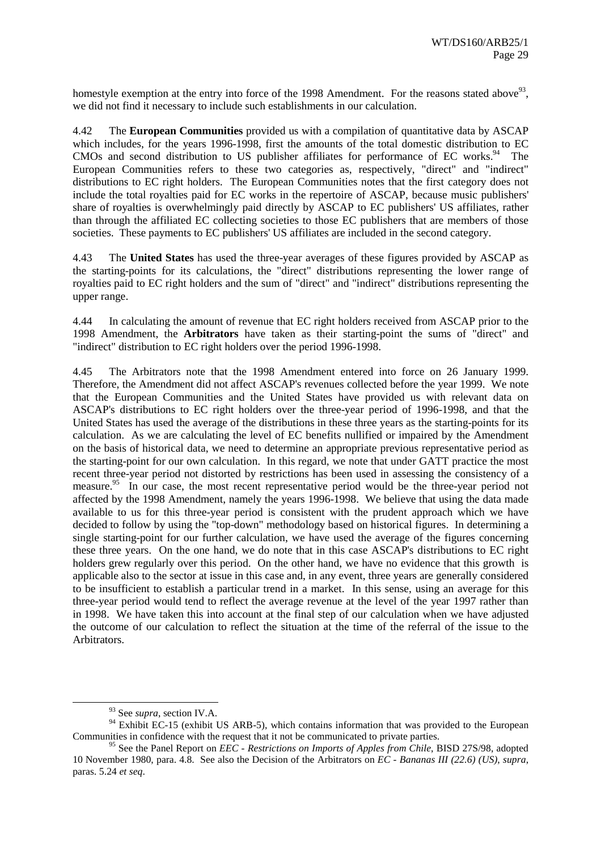homestyle exemption at the entry into force of the 1998 Amendment. For the reasons stated above<sup>93</sup>. we did not find it necessary to include such establishments in our calculation.

4.42 The **European Communities** provided us with a compilation of quantitative data by ASCAP which includes, for the years 1996-1998, first the amounts of the total domestic distribution to EC CMOs and second distribution to US publisher affiliates for performance of EC works.<sup>94</sup> The European Communities refers to these two categories as, respectively, "direct" and "indirect" distributions to EC right holders. The European Communities notes that the first category does not include the total royalties paid for EC works in the repertoire of ASCAP, because music publishers' share of royalties is overwhelmingly paid directly by ASCAP to EC publishers' US affiliates, rather than through the affiliated EC collecting societies to those EC publishers that are members of those societies. These payments to EC publishers' US affiliates are included in the second category.

4.43 The **United States** has used the three-year averages of these figures provided by ASCAP as the starting-points for its calculations, the "direct" distributions representing the lower range of royalties paid to EC right holders and the sum of "direct" and "indirect" distributions representing the upper range.

4.44 In calculating the amount of revenue that EC right holders received from ASCAP prior to the 1998 Amendment, the **Arbitrators** have taken as their starting-point the sums of "direct" and "indirect" distribution to EC right holders over the period 1996-1998.

4.45 The Arbitrators note that the 1998 Amendment entered into force on 26 January 1999. Therefore, the Amendment did not affect ASCAP's revenues collected before the year 1999. We note that the European Communities and the United States have provided us with relevant data on ASCAP's distributions to EC right holders over the three-year period of 1996-1998, and that the United States has used the average of the distributions in these three years as the starting-points for its calculation. As we are calculating the level of EC benefits nullified or impaired by the Amendment on the basis of historical data, we need to determine an appropriate previous representative period as the starting-point for our own calculation. In this regard, we note that under GATT practice the most recent three-year period not distorted by restrictions has been used in assessing the consistency of a measure.<sup>95</sup> In our case, the most recent representative period would be the three-year period not affected by the 1998 Amendment, namely the years 1996-1998. We believe that using the data made available to us for this three-year period is consistent with the prudent approach which we have decided to follow by using the "top-down" methodology based on historical figures. In determining a single starting-point for our further calculation, we have used the average of the figures concerning these three years. On the one hand, we do note that in this case ASCAP's distributions to EC right holders grew regularly over this period. On the other hand, we have no evidence that this growth is applicable also to the sector at issue in this case and, in any event, three years are generally considered to be insufficient to establish a particular trend in a market. In this sense, using an average for this three-year period would tend to reflect the average revenue at the level of the year 1997 rather than in 1998. We have taken this into account at the final step of our calculation when we have adjusted the outcome of our calculation to reflect the situation at the time of the referral of the issue to the Arbitrators.

 <sup>93</sup> See *supra*, section IV.A.

<sup>&</sup>lt;sup>94</sup> Exhibit EC-15 (exhibit US ARB-5), which contains information that was provided to the European Communities in confidence with the request that it not be communicated to private parties.

<sup>&</sup>lt;sup>95</sup> See the Panel Report on *EEC - Restrictions on Imports of Apples from Chile*, BISD 27S/98, adopted 10 November 1980, para. 4.8. See also the Decision of the Arbitrators on *EC - Bananas III (22.6) (US)*, *supra*, paras. 5.24 *et seq*.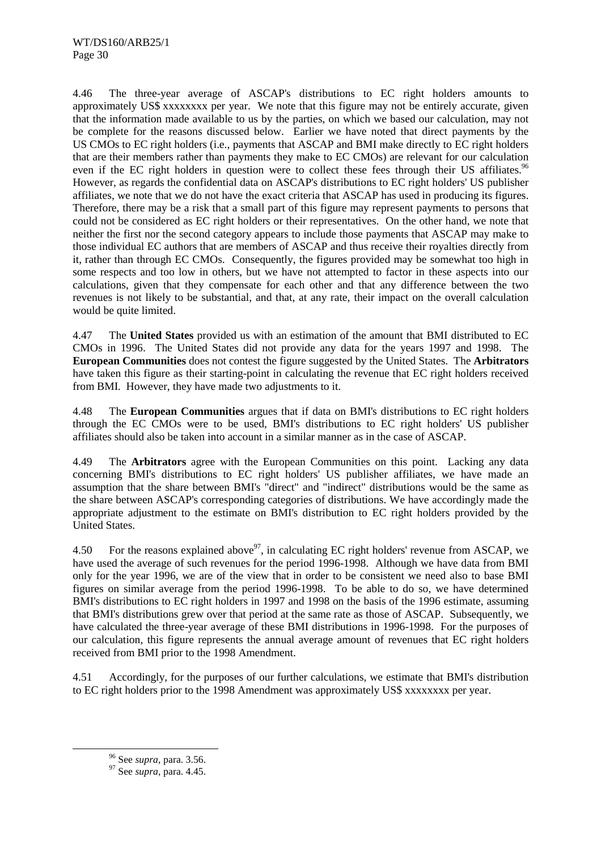4.46 The three-year average of ASCAP's distributions to EC right holders amounts to approximately US\$ xxxxxxxx per year. We note that this figure may not be entirely accurate, given that the information made available to us by the parties, on which we based our calculation, may not be complete for the reasons discussed below. Earlier we have noted that direct payments by the US CMOs to EC right holders (i.e., payments that ASCAP and BMI make directly to EC right holders that are their members rather than payments they make to EC CMOs) are relevant for our calculation even if the EC right holders in question were to collect these fees through their US affiliates.<sup>96</sup> However, as regards the confidential data on ASCAP's distributions to EC right holders' US publisher affiliates, we note that we do not have the exact criteria that ASCAP has used in producing its figures. Therefore, there may be a risk that a small part of this figure may represent payments to persons that could not be considered as EC right holders or their representatives. On the other hand, we note that neither the first nor the second category appears to include those payments that ASCAP may make to those individual EC authors that are members of ASCAP and thus receive their royalties directly from it, rather than through EC CMOs. Consequently, the figures provided may be somewhat too high in some respects and too low in others, but we have not attempted to factor in these aspects into our calculations, given that they compensate for each other and that any difference between the two revenues is not likely to be substantial, and that, at any rate, their impact on the overall calculation would be quite limited.

4.47 The **United States** provided us with an estimation of the amount that BMI distributed to EC CMOs in 1996. The United States did not provide any data for the years 1997 and 1998. The **European Communities** does not contest the figure suggested by the United States. The **Arbitrators** have taken this figure as their starting-point in calculating the revenue that EC right holders received from BMI. However, they have made two adjustments to it.

4.48 The **European Communities** argues that if data on BMI's distributions to EC right holders through the EC CMOs were to be used, BMI's distributions to EC right holders' US publisher affiliates should also be taken into account in a similar manner as in the case of ASCAP.

4.49 The **Arbitrators** agree with the European Communities on this point. Lacking any data concerning BMI's distributions to EC right holders' US publisher affiliates, we have made an assumption that the share between BMI's "direct" and "indirect" distributions would be the same as the share between ASCAP's corresponding categories of distributions. We have accordingly made the appropriate adjustment to the estimate on BMI's distribution to EC right holders provided by the United States.

4.50 For the reasons explained above<sup>97</sup>, in calculating EC right holders' revenue from ASCAP, we have used the average of such revenues for the period 1996-1998. Although we have data from BMI only for the year 1996, we are of the view that in order to be consistent we need also to base BMI figures on similar average from the period 1996-1998. To be able to do so, we have determined BMI's distributions to EC right holders in 1997 and 1998 on the basis of the 1996 estimate, assuming that BMI's distributions grew over that period at the same rate as those of ASCAP. Subsequently, we have calculated the three-year average of these BMI distributions in 1996-1998. For the purposes of our calculation, this figure represents the annual average amount of revenues that EC right holders received from BMI prior to the 1998 Amendment.

4.51 Accordingly, for the purposes of our further calculations, we estimate that BMI's distribution to EC right holders prior to the 1998 Amendment was approximately US\$ xxxxxxxx per year.

 <sup>96</sup> See *supra*, para. 3.56. 97 See *supra*, para. 4.45.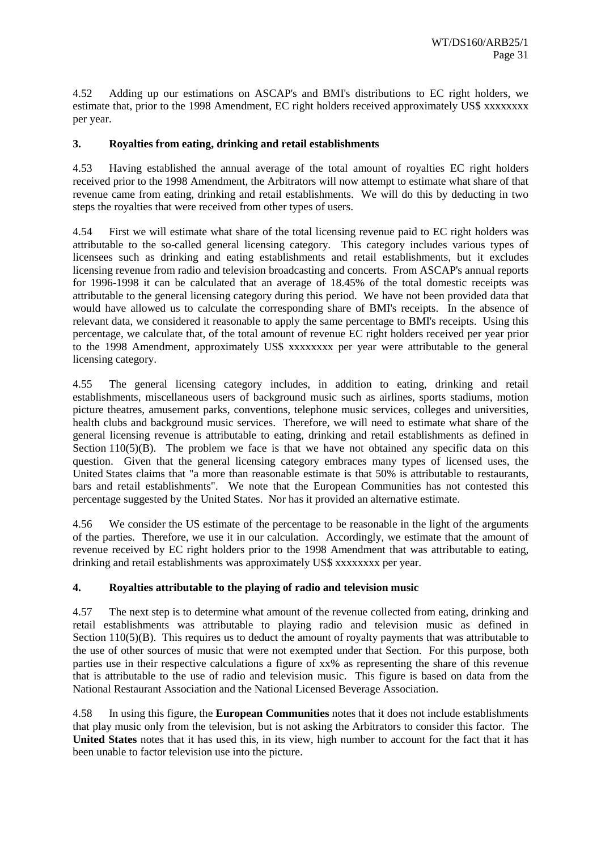4.52 Adding up our estimations on ASCAP's and BMI's distributions to EC right holders, we estimate that, prior to the 1998 Amendment, EC right holders received approximately US\$ xxxxxxxx per year.

#### **3. Royalties from eating, drinking and retail establishments**

4.53 Having established the annual average of the total amount of royalties EC right holders received prior to the 1998 Amendment, the Arbitrators will now attempt to estimate what share of that revenue came from eating, drinking and retail establishments. We will do this by deducting in two steps the royalties that were received from other types of users.

4.54 First we will estimate what share of the total licensing revenue paid to EC right holders was attributable to the so-called general licensing category. This category includes various types of licensees such as drinking and eating establishments and retail establishments, but it excludes licensing revenue from radio and television broadcasting and concerts. From ASCAP's annual reports for 1996-1998 it can be calculated that an average of 18.45% of the total domestic receipts was attributable to the general licensing category during this period. We have not been provided data that would have allowed us to calculate the corresponding share of BMI's receipts. In the absence of relevant data, we considered it reasonable to apply the same percentage to BMI's receipts. Using this percentage, we calculate that, of the total amount of revenue EC right holders received per year prior to the 1998 Amendment, approximately US\$ xxxxxxxx per year were attributable to the general licensing category.

4.55 The general licensing category includes, in addition to eating, drinking and retail establishments, miscellaneous users of background music such as airlines, sports stadiums, motion picture theatres, amusement parks, conventions, telephone music services, colleges and universities, health clubs and background music services. Therefore, we will need to estimate what share of the general licensing revenue is attributable to eating, drinking and retail establishments as defined in Section  $110(5)(B)$ . The problem we face is that we have not obtained any specific data on this question. Given that the general licensing category embraces many types of licensed uses, the United States claims that "a more than reasonable estimate is that 50% is attributable to restaurants, bars and retail establishments". We note that the European Communities has not contested this percentage suggested by the United States. Nor has it provided an alternative estimate.

4.56 We consider the US estimate of the percentage to be reasonable in the light of the arguments of the parties. Therefore, we use it in our calculation. Accordingly, we estimate that the amount of revenue received by EC right holders prior to the 1998 Amendment that was attributable to eating, drinking and retail establishments was approximately US\$ xxxxxxxx per year.

#### **4. Royalties attributable to the playing of radio and television music**

4.57 The next step is to determine what amount of the revenue collected from eating, drinking and retail establishments was attributable to playing radio and television music as defined in Section 110(5)(B). This requires us to deduct the amount of royalty payments that was attributable to the use of other sources of music that were not exempted under that Section. For this purpose, both parties use in their respective calculations a figure of xx% as representing the share of this revenue that is attributable to the use of radio and television music. This figure is based on data from the National Restaurant Association and the National Licensed Beverage Association.

4.58 In using this figure, the **European Communities** notes that it does not include establishments that play music only from the television, but is not asking the Arbitrators to consider this factor. The **United States** notes that it has used this, in its view, high number to account for the fact that it has been unable to factor television use into the picture.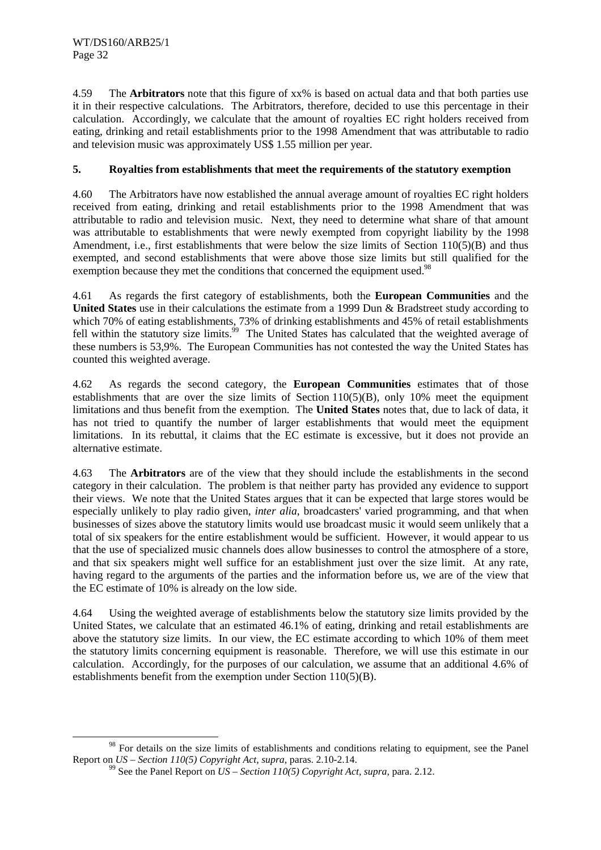4.59 The **Arbitrators** note that this figure of xx% is based on actual data and that both parties use it in their respective calculations. The Arbitrators, therefore, decided to use this percentage in their calculation. Accordingly, we calculate that the amount of royalties EC right holders received from eating, drinking and retail establishments prior to the 1998 Amendment that was attributable to radio and television music was approximately US\$ 1.55 million per year.

#### **5. Royalties from establishments that meet the requirements of the statutory exemption**

4.60 The Arbitrators have now established the annual average amount of royalties EC right holders received from eating, drinking and retail establishments prior to the 1998 Amendment that was attributable to radio and television music. Next, they need to determine what share of that amount was attributable to establishments that were newly exempted from copyright liability by the 1998 Amendment, i.e., first establishments that were below the size limits of Section 110(5)(B) and thus exempted, and second establishments that were above those size limits but still qualified for the exemption because they met the conditions that concerned the equipment used.<sup>98</sup>

4.61 As regards the first category of establishments, both the **European Communities** and the **United States** use in their calculations the estimate from a 1999 Dun & Bradstreet study according to which 70% of eating establishments, 73% of drinking establishments and 45% of retail establishments fell within the statutory size limits.<sup>99</sup> The United States has calculated that the weighted average of these numbers is 53,9%. The European Communities has not contested the way the United States has counted this weighted average.

4.62 As regards the second category, the **European Communities** estimates that of those establishments that are over the size limits of Section 110(5)(B), only 10% meet the equipment limitations and thus benefit from the exemption. The **United States** notes that, due to lack of data, it has not tried to quantify the number of larger establishments that would meet the equipment limitations. In its rebuttal, it claims that the EC estimate is excessive, but it does not provide an alternative estimate.

4.63 The **Arbitrators** are of the view that they should include the establishments in the second category in their calculation. The problem is that neither party has provided any evidence to support their views. We note that the United States argues that it can be expected that large stores would be especially unlikely to play radio given, *inter alia*, broadcasters' varied programming, and that when businesses of sizes above the statutory limits would use broadcast music it would seem unlikely that a total of six speakers for the entire establishment would be sufficient. However, it would appear to us that the use of specialized music channels does allow businesses to control the atmosphere of a store, and that six speakers might well suffice for an establishment just over the size limit. At any rate, having regard to the arguments of the parties and the information before us, we are of the view that the EC estimate of 10% is already on the low side.

4.64 Using the weighted average of establishments below the statutory size limits provided by the United States, we calculate that an estimated 46.1% of eating, drinking and retail establishments are above the statutory size limits. In our view, the EC estimate according to which 10% of them meet the statutory limits concerning equipment is reasonable. Therefore, we will use this estimate in our calculation. Accordingly, for the purposes of our calculation, we assume that an additional 4.6% of establishments benefit from the exemption under Section 110(5)(B).

<sup>&</sup>lt;sup>98</sup> For details on the size limits of establishments and conditions relating to equipment, see the Panel Report on *US* – *Section 110(5) Copyright Act, supra*, paras. 2.10-2.14.

<sup>&</sup>lt;sup>99</sup> See the Panel Report on  $US - Section 110(5) Copyright Act, supra, para. 2.12.$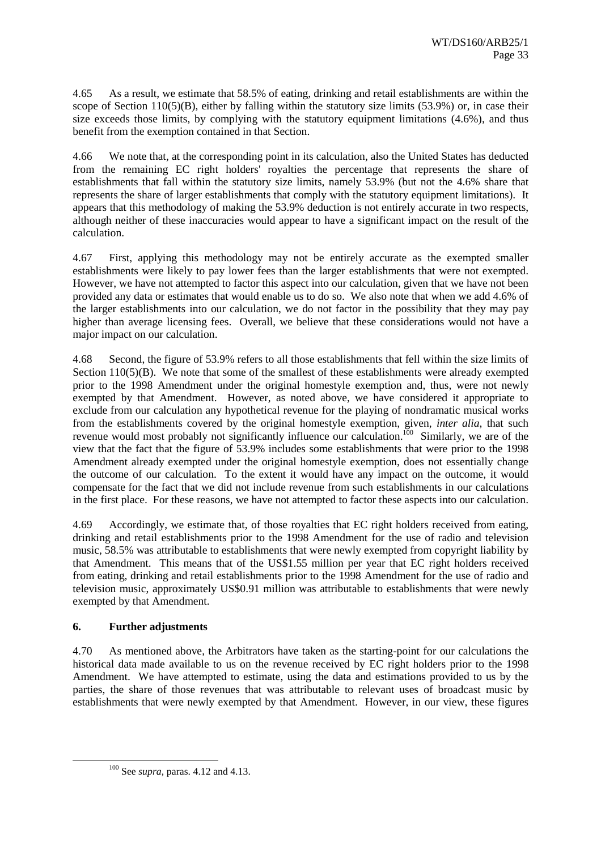4.65 As a result, we estimate that 58.5% of eating, drinking and retail establishments are within the scope of Section 110(5)(B), either by falling within the statutory size limits (53.9%) or, in case their size exceeds those limits, by complying with the statutory equipment limitations (4.6%), and thus benefit from the exemption contained in that Section.

4.66 We note that, at the corresponding point in its calculation, also the United States has deducted from the remaining EC right holders' royalties the percentage that represents the share of establishments that fall within the statutory size limits, namely 53.9% (but not the 4.6% share that represents the share of larger establishments that comply with the statutory equipment limitations). It appears that this methodology of making the 53.9% deduction is not entirely accurate in two respects, although neither of these inaccuracies would appear to have a significant impact on the result of the calculation.

4.67 First, applying this methodology may not be entirely accurate as the exempted smaller establishments were likely to pay lower fees than the larger establishments that were not exempted. However, we have not attempted to factor this aspect into our calculation, given that we have not been provided any data or estimates that would enable us to do so. We also note that when we add 4.6% of the larger establishments into our calculation, we do not factor in the possibility that they may pay higher than average licensing fees. Overall, we believe that these considerations would not have a major impact on our calculation.

4.68 Second, the figure of 53.9% refers to all those establishments that fell within the size limits of Section 110(5)(B). We note that some of the smallest of these establishments were already exempted prior to the 1998 Amendment under the original homestyle exemption and, thus, were not newly exempted by that Amendment. However, as noted above, we have considered it appropriate to exclude from our calculation any hypothetical revenue for the playing of nondramatic musical works from the establishments covered by the original homestyle exemption, given, *inter alia*, that such revenue would most probably not significantly influence our calculation.<sup>100</sup> Similarly, we are of the view that the fact that the figure of 53.9% includes some establishments that were prior to the 1998 Amendment already exempted under the original homestyle exemption, does not essentially change the outcome of our calculation. To the extent it would have any impact on the outcome, it would compensate for the fact that we did not include revenue from such establishments in our calculations in the first place. For these reasons, we have not attempted to factor these aspects into our calculation.

4.69 Accordingly, we estimate that, of those royalties that EC right holders received from eating, drinking and retail establishments prior to the 1998 Amendment for the use of radio and television music, 58.5% was attributable to establishments that were newly exempted from copyright liability by that Amendment. This means that of the US\$1.55 million per year that EC right holders received from eating, drinking and retail establishments prior to the 1998 Amendment for the use of radio and television music, approximately US\$0.91 million was attributable to establishments that were newly exempted by that Amendment.

#### **6. Further adjustments**

4.70 As mentioned above, the Arbitrators have taken as the starting-point for our calculations the historical data made available to us on the revenue received by EC right holders prior to the 1998 Amendment. We have attempted to estimate, using the data and estimations provided to us by the parties, the share of those revenues that was attributable to relevant uses of broadcast music by establishments that were newly exempted by that Amendment. However, in our view, these figures

 <sup>100</sup> See *supra*, paras. 4.12 and 4.13.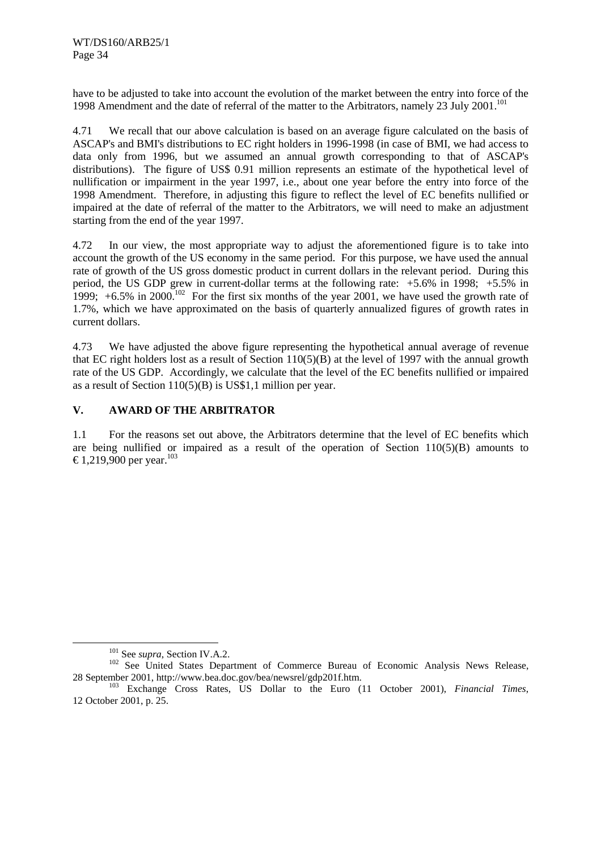have to be adjusted to take into account the evolution of the market between the entry into force of the 1998 Amendment and the date of referral of the matter to the Arbitrators, namely 23 July 2001.<sup>101</sup>

4.71 We recall that our above calculation is based on an average figure calculated on the basis of ASCAP's and BMI's distributions to EC right holders in 1996-1998 (in case of BMI, we had access to data only from 1996, but we assumed an annual growth corresponding to that of ASCAP's distributions). The figure of US\$ 0.91 million represents an estimate of the hypothetical level of nullification or impairment in the year 1997, i.e., about one year before the entry into force of the 1998 Amendment. Therefore, in adjusting this figure to reflect the level of EC benefits nullified or impaired at the date of referral of the matter to the Arbitrators, we will need to make an adjustment starting from the end of the year 1997.

4.72 In our view, the most appropriate way to adjust the aforementioned figure is to take into account the growth of the US economy in the same period. For this purpose, we have used the annual rate of growth of the US gross domestic product in current dollars in the relevant period. During this period, the US GDP grew in current-dollar terms at the following rate: +5.6% in 1998; +5.5% in 1999;  $+6.5\%$  in 2000.<sup>102</sup> For the first six months of the year 2001, we have used the growth rate of 1.7%, which we have approximated on the basis of quarterly annualized figures of growth rates in current dollars.

4.73 We have adjusted the above figure representing the hypothetical annual average of revenue that EC right holders lost as a result of Section  $110(5)(B)$  at the level of 1997 with the annual growth rate of the US GDP. Accordingly, we calculate that the level of the EC benefits nullified or impaired as a result of Section 110(5)(B) is US\$1,1 million per year.

#### **V. AWARD OF THE ARBITRATOR**

1.1 For the reasons set out above, the Arbitrators determine that the level of EC benefits which are being nullified or impaired as a result of the operation of Section 110(5)(B) amounts to €1,219,900 per year.<sup>103</sup>

<sup>&</sup>lt;sup>101</sup> See *supra*, Section IV.A.2.<br><sup>102</sup> See United States Department of Commerce Bureau of Economic Analysis News Release,

<sup>28</sup> September 2001, http://www.bea.doc.gov/bea/newsrel/gdp201f.htm. 103 Exchange Cross Rates, US Dollar to the Euro (11 October 2001), *Financial Times*, 12 October 2001, p. 25.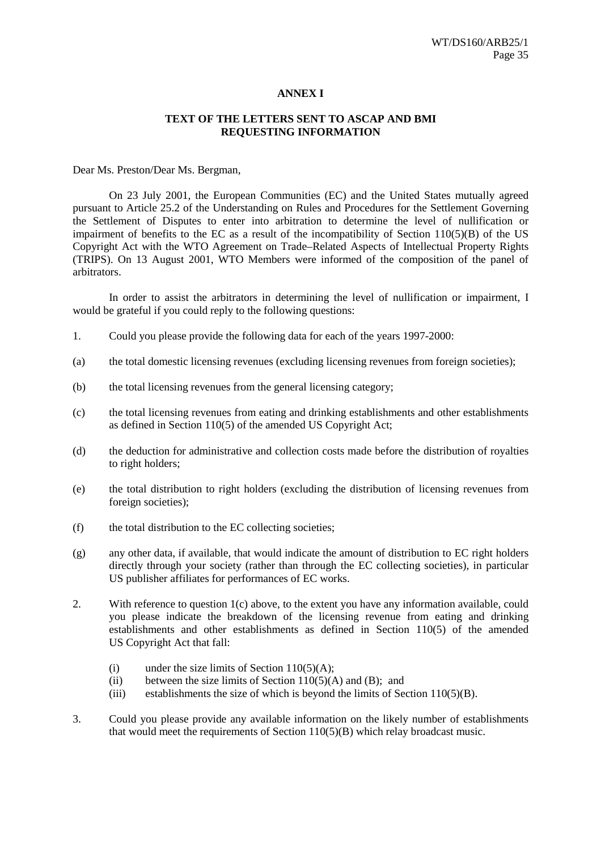#### **ANNEX I**

#### **TEXT OF THE LETTERS SENT TO ASCAP AND BMI REQUESTING INFORMATION**

Dear Ms. Preston/Dear Ms. Bergman,

On 23 July 2001, the European Communities (EC) and the United States mutually agreed pursuant to Article 25.2 of the Understanding on Rules and Procedures for the Settlement Governing the Settlement of Disputes to enter into arbitration to determine the level of nullification or impairment of benefits to the EC as a result of the incompatibility of Section  $110(5)(B)$  of the US Copyright Act with the WTO Agreement on Trade–Related Aspects of Intellectual Property Rights (TRIPS). On 13 August 2001, WTO Members were informed of the composition of the panel of arbitrators.

In order to assist the arbitrators in determining the level of nullification or impairment, I would be grateful if you could reply to the following questions:

- 1. Could you please provide the following data for each of the years 1997-2000:
- (a) the total domestic licensing revenues (excluding licensing revenues from foreign societies);
- (b) the total licensing revenues from the general licensing category;
- (c) the total licensing revenues from eating and drinking establishments and other establishments as defined in Section 110(5) of the amended US Copyright Act;
- (d) the deduction for administrative and collection costs made before the distribution of royalties to right holders;
- (e) the total distribution to right holders (excluding the distribution of licensing revenues from foreign societies);
- (f) the total distribution to the EC collecting societies;
- (g) any other data, if available, that would indicate the amount of distribution to EC right holders directly through your society (rather than through the EC collecting societies), in particular US publisher affiliates for performances of EC works.
- 2. With reference to question 1(c) above, to the extent you have any information available, could you please indicate the breakdown of the licensing revenue from eating and drinking establishments and other establishments as defined in Section 110(5) of the amended US Copyright Act that fall:
	- (i) under the size limits of Section  $110(5)(A)$ ;
	- (ii) between the size limits of Section  $110(5)(A)$  and (B); and
	- (iii) establishments the size of which is beyond the limits of Section 110(5)(B).
- 3. Could you please provide any available information on the likely number of establishments that would meet the requirements of Section 110(5)(B) which relay broadcast music.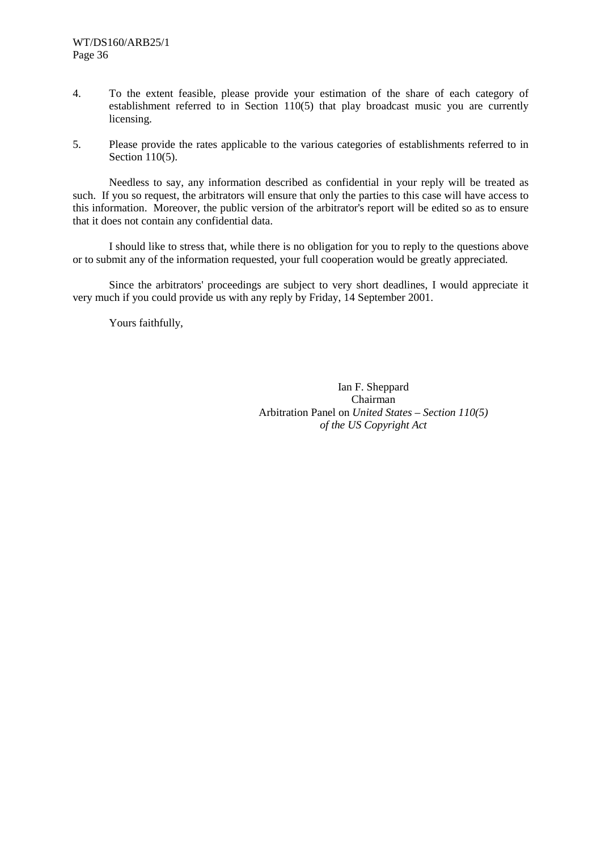- 4. To the extent feasible, please provide your estimation of the share of each category of establishment referred to in Section 110(5) that play broadcast music you are currently licensing.
- 5. Please provide the rates applicable to the various categories of establishments referred to in Section 110(5).

Needless to say, any information described as confidential in your reply will be treated as such. If you so request, the arbitrators will ensure that only the parties to this case will have access to this information. Moreover, the public version of the arbitrator's report will be edited so as to ensure that it does not contain any confidential data.

I should like to stress that, while there is no obligation for you to reply to the questions above or to submit any of the information requested, your full cooperation would be greatly appreciated.

Since the arbitrators' proceedings are subject to very short deadlines, I would appreciate it very much if you could provide us with any reply by Friday, 14 September 2001.

Yours faithfully,

Ian F. Sheppard Chairman Arbitration Panel on *United States – Section 110(5) of the US Copyright Act*